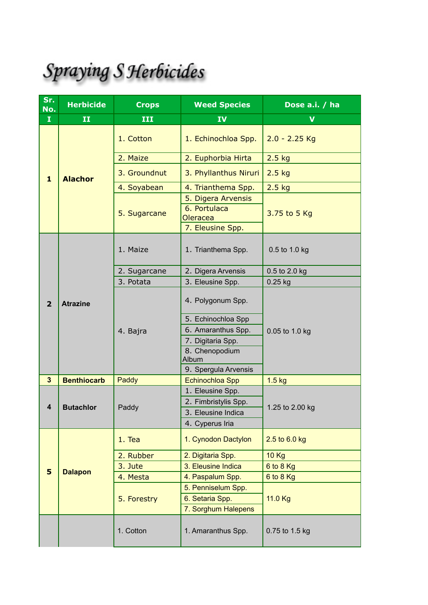## Spraying S Herbicides

| Sr.<br>No.     | <b>Herbicide</b>   | <b>Crops</b> | <b>Weed Species</b>                            | Dose a.i. / ha  |  |
|----------------|--------------------|--------------|------------------------------------------------|-----------------|--|
| $\mathbf I$    | $\mathbf{I}$       | III          | IV                                             | V               |  |
|                |                    | 1. Cotton    | 1. Echinochloa Spp.                            | $2.0 - 2.25$ Kg |  |
|                |                    | 2. Maize     | 2. Euphorbia Hirta                             | $2.5$ kg        |  |
| $\mathbf{1}$   | <b>Alachor</b>     | 3. Groundnut | 3. Phyllanthus Niruri                          | $2.5$ kg        |  |
|                |                    | 4. Soyabean  | 4. Trianthema Spp.                             | $2.5$ kg        |  |
|                |                    | 5. Sugarcane | 5. Digera Arvensis<br>6. Portulaca<br>Oleracea | 3.75 to 5 Kg    |  |
|                |                    |              | 7. Eleusine Spp.                               |                 |  |
|                |                    | 1. Maize     | 1. Trianthema Spp.                             | 0.5 to 1.0 kg   |  |
|                |                    | 2. Sugarcane | 2. Digera Arvensis                             | 0.5 to 2.0 kg   |  |
|                |                    | 3. Potata    | 3. Eleusine Spp.                               | $0.25$ kg       |  |
| $\overline{2}$ | <b>Atrazine</b>    | 4. Bajra     | 4. Polygonum Spp.                              |                 |  |
|                |                    |              | 5. Echinochloa Spp                             |                 |  |
|                |                    |              | 6. Amaranthus Spp.                             | 0.05 to 1.0 kg  |  |
|                |                    |              | 7. Digitaria Spp.                              |                 |  |
|                |                    |              | 8. Chenopodium<br>Album                        |                 |  |
|                |                    |              | 9. Spergula Arvensis                           |                 |  |
| $\mathbf{3}$   | <b>Benthiocarb</b> | Paddy        | Echinochloa Spp                                | $1.5$ kg        |  |
|                |                    |              | 1. Eleusine Spp.                               |                 |  |
| 4              | <b>Butachlor</b>   | Paddy        | 2. Fimbristylis Spp.                           | 1.25 to 2.00 kg |  |
|                |                    |              | 3. Eleusine Indica<br>4. Cyperus Iria          |                 |  |
|                |                    |              |                                                |                 |  |
|                |                    | 1. Tea       | 1. Cynodon Dactylon                            | 2.5 to 6.0 kg   |  |
|                |                    | 2. Rubber    | 2. Digitaria Spp.                              | <b>10 Kg</b>    |  |
|                |                    | 3. Jute      | 3. Eleusine Indica                             | 6 to 8 Kg       |  |
| 5              | <b>Dalapon</b>     | 4. Mesta     | 4. Paspalum Spp.                               | $6$ to $8$ Kg   |  |
|                |                    |              | 5. Penniselum Spp.                             |                 |  |
|                |                    | 5. Forestry  | 6. Setaria Spp.                                | 11.0 Kg         |  |
|                |                    |              | 7. Sorghum Halepens                            |                 |  |
|                |                    | 1. Cotton    | 1. Amaranthus Spp.                             | 0.75 to 1.5 kg  |  |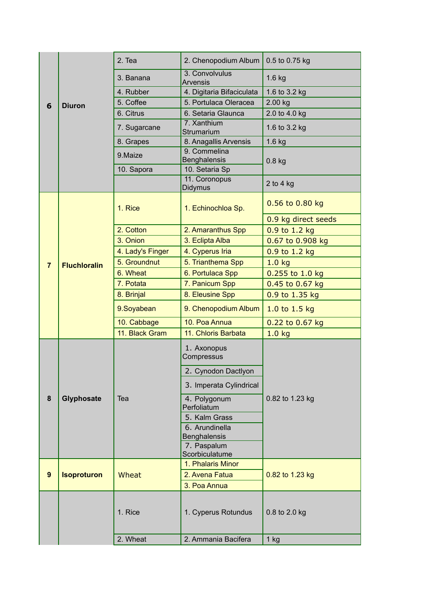|                |                     | 2. Tea           | 2. Chenopodium Album                  | 0.5 to 0.75 kg      |  |
|----------------|---------------------|------------------|---------------------------------------|---------------------|--|
|                |                     | 3. Banana        | 3. Convolvulus<br><b>Arvensis</b>     | $1.6$ kg            |  |
|                |                     | 4. Rubber        | 4. Digitaria Bifaciculata             | 1.6 to 3.2 kg       |  |
| 6              | <b>Diuron</b>       | 5. Coffee        | 5. Portulaca Oleracea                 | 2.00 kg             |  |
|                |                     | 6. Citrus        | 6. Setaria Glaunca                    | 2.0 to 4.0 kg       |  |
|                |                     | 7. Sugarcane     | 7. Xanthium<br>Strumarium             | 1.6 to 3.2 kg       |  |
|                |                     | 8. Grapes        | 8. Anagallis Arvensis                 | $1.6$ kg            |  |
|                |                     | 9.Maize          | 9. Commelina                          |                     |  |
|                |                     | 10. Sapora       | <b>Benghalensis</b><br>10. Setaria Sp | $0.8$ kg            |  |
|                |                     |                  | 11. Coronopus                         |                     |  |
|                |                     |                  | Didymus                               | 2 to 4 $kg$         |  |
|                |                     | 1. Rice          | 1. Echinochloa Sp.                    | 0.56 to 0.80 kg     |  |
|                |                     |                  |                                       | 0.9 kg direct seeds |  |
|                |                     | 2. Cotton        | 2. Amaranthus Spp                     | 0.9 to 1.2 kg       |  |
|                |                     | 3. Onion         | 3. Eclipta Alba                       | 0.67 to 0.908 kg    |  |
|                |                     | 4. Lady's Finger | 4. Cyperus Iria                       | 0.9 to 1.2 kg       |  |
| $\overline{7}$ | <b>Fluchloralin</b> | 5. Groundnut     | 5. Trianthema Spp                     | 1.0 <sub>kg</sub>   |  |
|                |                     | 6. Wheat         | 6. Portulaca Spp                      | 0.255 to 1.0 kg     |  |
|                |                     | 7. Potata        | 7. Panicum Spp                        | 0.45 to 0.67 kg     |  |
|                |                     | 8. Brinjal       | 8. Eleusine Spp                       | 0.9 to 1.35 kg      |  |
|                |                     | 9.Soyabean       | 9. Chenopodium Album                  | 1.0 to 1.5 kg       |  |
|                |                     | 10. Cabbage      | 10. Poa Annua                         | 0.22 to 0.67 kg     |  |
|                |                     | 11. Black Gram   | 11. Chloris Barbata                   | 1.0 <sub>kg</sub>   |  |
|                |                     |                  | 1. Axonopus<br>Compressus             |                     |  |
|                |                     |                  | 2. Cynodon Dactlyon                   |                     |  |
|                |                     |                  | 3. Imperata Cylindrical               |                     |  |
| $\bf 8$        | Glyphosate          | Tea              | 4. Polygonum                          | 0.82 to 1.23 kg     |  |
|                |                     |                  | Perfoliatum                           |                     |  |
|                |                     |                  | 5. Kalm Grass                         |                     |  |
|                |                     |                  | 6. Arundinella<br>Benghalensis        |                     |  |
|                |                     |                  | 7. Paspalum                           |                     |  |
|                |                     |                  | Scorbiculatume                        |                     |  |
|                |                     |                  | 1. Phalaris Minor                     |                     |  |
| 9              | <b>Isoproturon</b>  | Wheat            | 2. Avena Fatua                        | 0.82 to 1.23 kg     |  |
|                |                     |                  | 3. Poa Annua                          |                     |  |
|                |                     | 1. Rice          | 1. Cyperus Rotundus                   | 0.8 to 2.0 kg       |  |
|                |                     | 2. Wheat         | 2. Ammania Bacifera                   | $1$ kg              |  |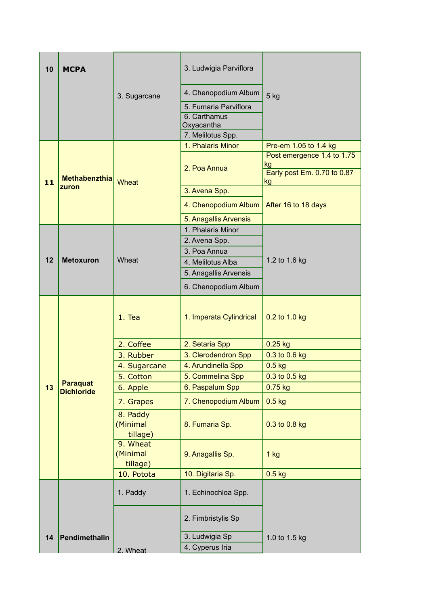| 10 | <b>MCPA</b>       |                                  | 3. Ludwigia Parviflora                     |                             |
|----|-------------------|----------------------------------|--------------------------------------------|-----------------------------|
|    |                   | 3. Sugarcane                     | 4. Chenopodium Album                       | 5 kg                        |
|    |                   |                                  | 5. Fumaria Parviflora                      |                             |
|    |                   |                                  | 6. Carthamus                               |                             |
|    |                   |                                  | Oxyacantha                                 |                             |
|    |                   |                                  | 7. Melilotus Spp.<br>1. Phalaris Minor     | Pre-em 1.05 to 1.4 kg       |
|    |                   |                                  |                                            | Post emergence 1.4 to 1.75  |
|    |                   |                                  | 2. Poa Annua                               | kg                          |
|    | Methabenzthia     |                                  |                                            | Early post Em. 0.70 to 0.87 |
| 11 | zuron             | <b>Wheat</b>                     | 3. Avena Spp.                              | kg                          |
|    |                   |                                  | 4. Chenopodium Album                       | After 16 to 18 days         |
|    |                   |                                  |                                            |                             |
|    |                   |                                  | 5. Anagallis Arvensis<br>1. Phalaris Minor |                             |
|    |                   |                                  | 2. Avena Spp.                              |                             |
|    |                   | Wheat                            | 3. Poa Annua                               |                             |
| 12 | <b>Metoxuron</b>  |                                  | 4. Melilotus Alba                          | 1.2 to 1.6 kg               |
|    |                   |                                  | 5. Anagallis Arvensis                      |                             |
|    |                   |                                  |                                            |                             |
|    |                   |                                  | 6. Chenopodium Album                       |                             |
|    |                   | $1.$ Tea                         | 1. Imperata Cylindrical                    | 0.2 to 1.0 kg               |
|    |                   | 2. Coffee                        | 2. Setaria Spp                             | $0.25$ kg                   |
|    |                   | 3. Rubber                        | 3. Clerodendron Spp                        | 0.3 to 0.6 kg               |
|    |                   | 4. Sugarcane                     | 4. Arundinella Spp                         | $0.5$ kg                    |
|    | <b>Paraquat</b>   | 5. Cotton                        | 5. Commelina Spp                           | 0.3 to 0.5 kg               |
| 13 | <b>Dichloride</b> | 6. Apple                         | 6. Paspalum Spp                            | $0.75$ kg                   |
|    |                   | 7. Grapes                        | 7. Chenopodium Album                       | $0.5$ kg                    |
|    |                   | 8. Paddy<br>(Minimal<br>tillage) | 8. Fumaria Sp.                             | 0.3 to 0.8 kg               |
|    |                   | 9. Wheat<br>(Minimal<br>tillage) | 9. Anagallis Sp.                           | $1$ kg                      |
|    |                   | 10. Potota                       | 10. Digitaria Sp.                          | $0.5$ kg                    |
|    |                   | 1. Paddy                         | 1. Echinochloa Spp.                        |                             |
|    |                   |                                  | 2. Fimbristylis Sp                         |                             |
| 14 | Pendimethalin     |                                  | 3. Ludwigia Sp                             | 1.0 to 1.5 kg               |
|    |                   | 2. Wheat                         | 4. Cyperus Iria                            |                             |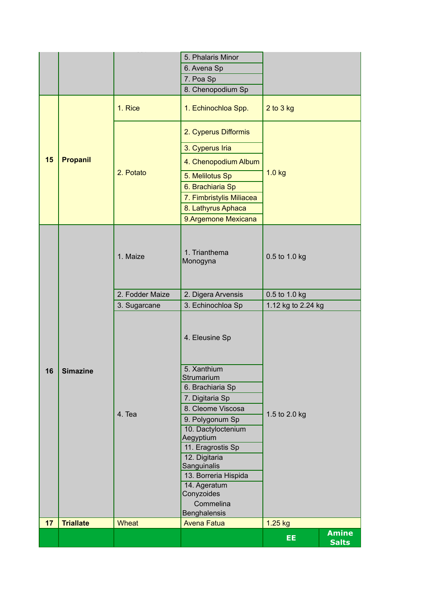|    |                  |                 | 5. Phalaris Minor<br>6. Avena Sp<br>7. Poa Sp                                                                                                                                   |                    |                              |
|----|------------------|-----------------|---------------------------------------------------------------------------------------------------------------------------------------------------------------------------------|--------------------|------------------------------|
|    |                  | 1. Rice         | 8. Chenopodium Sp<br>1. Echinochloa Spp.                                                                                                                                        | $2$ to $3$ kg      |                              |
| 15 | <b>Propanil</b>  | 2. Potato       | 2. Cyperus Difformis<br>3. Cyperus Iria<br>4. Chenopodium Album<br>5. Melilotus Sp<br>6. Brachiaria Sp<br>7. Fimbristylis Miliacea<br>8. Lathyrus Aphaca<br>9.Argemone Mexicana | 1.0 kg             |                              |
|    |                  | 1. Maize        | 1. Trianthema<br>Monogyna                                                                                                                                                       | 0.5 to 1.0 kg      |                              |
|    |                  | 2. Fodder Maize | 2. Digera Arvensis                                                                                                                                                              | 0.5 to 1.0 kg      |                              |
|    |                  | 3. Sugarcane    | 3. Echinochloa Sp                                                                                                                                                               | 1.12 kg to 2.24 kg |                              |
|    |                  |                 | 4. Eleusine Sp                                                                                                                                                                  |                    |                              |
| 16 | Simazine         | 4. Tea          | 5. Xanthium<br>Strumarium<br>6. Brachiaria Sp<br>7. Digitaria Sp<br>8. Cleome Viscosa                                                                                           |                    |                              |
|    |                  |                 | 9. Polygonum Sp<br>10. Dactyloctenium<br>Aegyptium<br>11. Eragrostis Sp<br>12. Digitaria<br>Sanguinalis<br>13. Borreria Hispida<br>14. Ageratum<br>Conyzoides                   | 1.5 to 2.0 kg      |                              |
|    |                  |                 | Commelina<br>Benghalensis                                                                                                                                                       |                    |                              |
| 17 | <b>Triallate</b> | <b>Wheat</b>    | <b>Avena Fatua</b>                                                                                                                                                              | 1.25 kg            |                              |
|    |                  |                 |                                                                                                                                                                                 | EE.                | <b>Amine</b><br><b>Salts</b> |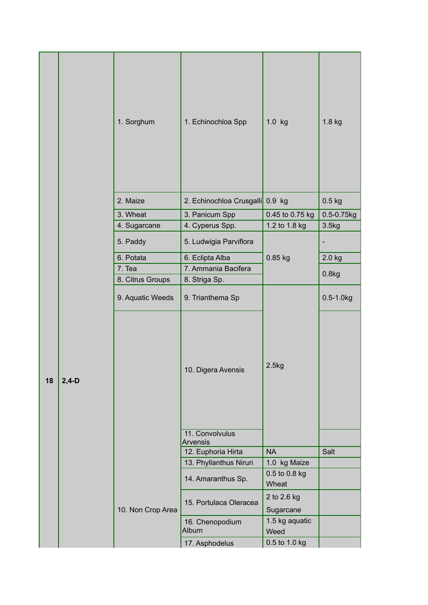|    |         | 1. Sorghum        | 1. Echinochloa Spp              | $1.0$ kg                 | 1.8 kg          |
|----|---------|-------------------|---------------------------------|--------------------------|-----------------|
|    |         | 2. Maize          | 2. Echinochloa Crusgalli 0.9 kg |                          | $0.5$ kg        |
|    |         | 3. Wheat          | 3. Panicum Spp                  | 0.45 to 0.75 kg          | $0.5 - 0.75$ kg |
|    |         | 4. Sugarcane      | 4. Cyperus Spp.                 | 1.2 to 1.8 kg            | 3.5kg           |
|    |         | 5. Paddy          | 5. Ludwigia Parviflora          |                          |                 |
|    |         | 6. Potata         | 6. Eclipta Alba                 | 0.85 kg                  | 2.0 kg          |
|    |         | 7. Tea            | 7. Ammania Bacifera             |                          |                 |
|    |         | 8. Citrus Groups  | 8. Striga Sp.                   |                          | 0.8kg           |
|    |         | 9. Aquatic Weeds  | 9. Trianthema Sp                |                          | $0.5 - 1.0$ kg  |
| 18 | $2,4-D$ |                   | 10. Digera Avensis              | 2.5kg                    |                 |
|    |         |                   | 11. Convolvulus                 |                          |                 |
|    |         |                   | Arvensis<br>12. Euphoria Hirta  | <b>NA</b>                | Salt            |
|    |         |                   | 13. Phyllanthus Niruri          | 1.0 kg Maize             |                 |
|    |         |                   | 14. Amaranthus Sp.              | 0.5 to 0.8 kg<br>Wheat   |                 |
|    |         | 10. Non Crop Area | 15. Portulaca Oleracea          | 2 to 2.6 kg<br>Sugarcane |                 |
|    |         |                   | 16. Chenopodium<br>Album        | 1.5 kg aquatic<br>Weed   |                 |
|    |         |                   | 17. Asphodelus                  | 0.5 to 1.0 kg            |                 |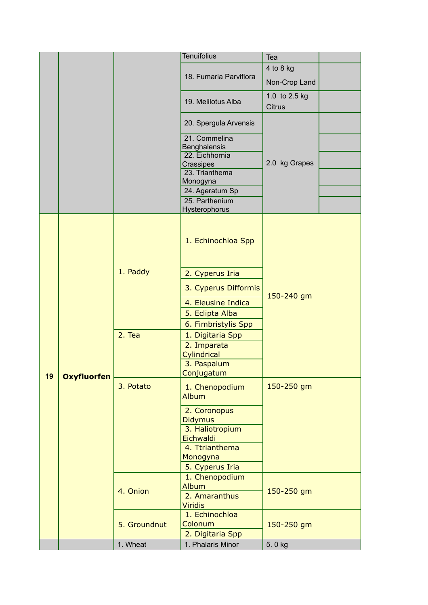|    |                    |              | <b>Tenuifolius</b>               | Tea                            |  |
|----|--------------------|--------------|----------------------------------|--------------------------------|--|
|    |                    |              |                                  | 4 to 8 kg                      |  |
|    |                    |              | 18. Fumaria Parviflora           | Non-Crop Land                  |  |
|    |                    |              |                                  |                                |  |
|    |                    |              | 19. Melilotus Alba               | 1.0 to 2.5 kg<br><b>Citrus</b> |  |
|    |                    |              | 20. Spergula Arvensis            |                                |  |
|    |                    |              | 21. Commelina                    |                                |  |
|    |                    |              | Benghalensis<br>22. Eichhornia   |                                |  |
|    |                    |              | Crassipes                        | 2.0 kg Grapes                  |  |
|    |                    |              | 23. Trianthema                   |                                |  |
|    |                    |              | Monogyna                         |                                |  |
|    |                    |              | 24. Ageratum Sp                  |                                |  |
|    |                    |              | 25. Parthenium<br>Hysterophorus  |                                |  |
|    |                    |              | 1. Echinochloa Spp               |                                |  |
|    |                    | 1. Paddy     | 2. Cyperus Iria                  |                                |  |
|    |                    |              | 3. Cyperus Difformis             | 150-240 gm                     |  |
|    |                    |              | 4. Eleusine Indica               |                                |  |
|    |                    |              | 5. Eclipta Alba                  |                                |  |
|    |                    |              | 6. Fimbristylis Spp              |                                |  |
|    |                    | 2. Tea       | 1. Digitaria Spp                 |                                |  |
|    |                    |              | 2. Imparata                      |                                |  |
|    |                    |              | Cylindrical<br>3. Paspalum       |                                |  |
| 19 | <b>Oxyfluorfen</b> |              | Conjugatum                       |                                |  |
|    |                    | 3. Potato    | 1. Chenopodium<br><b>Album</b>   | 150-250 gm                     |  |
|    |                    |              | 2. Coronopus                     |                                |  |
|    |                    |              | <b>Didymus</b>                   |                                |  |
|    |                    |              | 3. Haliotropium<br>Eichwaldi     |                                |  |
|    |                    |              | 4. Ttrianthema                   |                                |  |
|    |                    |              | Monogyna                         |                                |  |
|    |                    |              | 5. Cyperus Iria                  |                                |  |
|    |                    |              | 1. Chenopodium                   |                                |  |
|    |                    | 4. Onion     | <b>Album</b>                     | 150-250 gm                     |  |
|    |                    |              | 2. Amaranthus                    |                                |  |
|    |                    |              | <b>Viridis</b><br>1. Echinochloa |                                |  |
|    |                    | 5. Groundnut | Colonum                          | 150-250 gm                     |  |
|    |                    |              | 2. Digitaria Spp                 |                                |  |
|    |                    | 1. Wheat     | 1. Phalaris Minor                | 5.0 kg                         |  |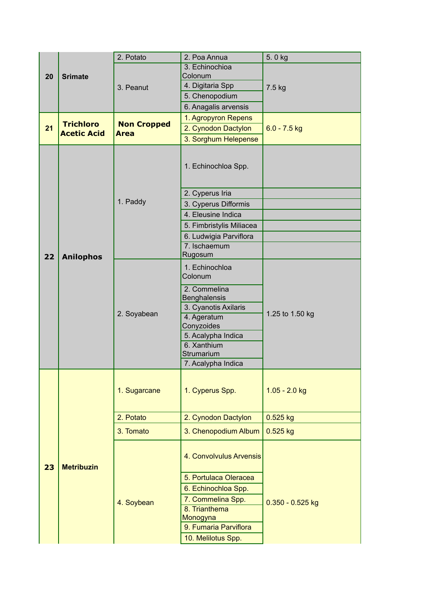|    |                    | 2. Potato          | 2. Poa Annua                      | 5.0 kg             |  |
|----|--------------------|--------------------|-----------------------------------|--------------------|--|
|    | <b>Srimate</b>     |                    | 3. Echinochioa                    |                    |  |
| 20 |                    | 3. Peanut          | Colonum                           |                    |  |
|    |                    |                    | 4. Digitaria Spp                  | 7.5 kg             |  |
|    |                    |                    | 5. Chenopodium                    |                    |  |
|    |                    |                    | 6. Anagalis arvensis              |                    |  |
|    | <b>Trichloro</b>   | <b>Non Cropped</b> | 1. Agropyron Repens               |                    |  |
| 21 | <b>Acetic Acid</b> | <b>Area</b>        | 2. Cynodon Dactylon               | $6.0 - 7.5$ kg     |  |
|    |                    |                    | 3. Sorghum Helepense              |                    |  |
|    |                    |                    | 1. Echinochloa Spp.               |                    |  |
|    |                    |                    | 2. Cyperus Iria                   |                    |  |
|    |                    | 1. Paddy           | 3. Cyperus Difformis              |                    |  |
|    |                    |                    | 4. Eleusine Indica                |                    |  |
|    |                    |                    | 5. Fimbristylis Miliacea          |                    |  |
|    |                    |                    | 6. Ludwigia Parviflora            |                    |  |
|    |                    |                    | 7. Ischaemum                      |                    |  |
| 22 | <b>Anilophos</b>   |                    | Rugosum                           |                    |  |
|    |                    | 2. Soyabean        | 1. Echinochloa<br>Colonum         |                    |  |
|    |                    |                    | 2. Commelina<br>Benghalensis      |                    |  |
|    |                    |                    | 3. Cyanotis Axilaris              |                    |  |
|    |                    |                    | 4. Ageratum                       | 1.25 to 1.50 kg    |  |
|    |                    |                    | Conyzoides                        |                    |  |
|    |                    |                    | 5. Acalypha Indica<br>6. Xanthium |                    |  |
|    |                    |                    | Strumarium                        |                    |  |
|    |                    |                    | 7. Acalypha Indica                |                    |  |
|    |                    | 1. Sugarcane       | 1. Cyperus Spp.                   | $1.05 - 2.0$ kg    |  |
|    |                    | 2. Potato          | 2. Cynodon Dactylon               | 0.525 kg           |  |
|    |                    | 3. Tomato          | 3. Chenopodium Album              | $0.525$ kg         |  |
|    |                    |                    |                                   |                    |  |
| 23 | <b>Metribuzin</b>  |                    | 4. Convolvulus Arvensis           |                    |  |
|    |                    |                    | 5. Portulaca Oleracea             |                    |  |
|    |                    |                    | 6. Echinochloa Spp.               |                    |  |
|    |                    | 4. Soybean         | 7. Commelina Spp.                 | $0.350 - 0.525$ kg |  |
|    |                    |                    | 8. Trianthema                     |                    |  |
|    |                    |                    | Monogyna<br>9. Fumaria Parviflora |                    |  |
|    |                    |                    |                                   |                    |  |
|    |                    |                    | 10. Melilotus Spp.                |                    |  |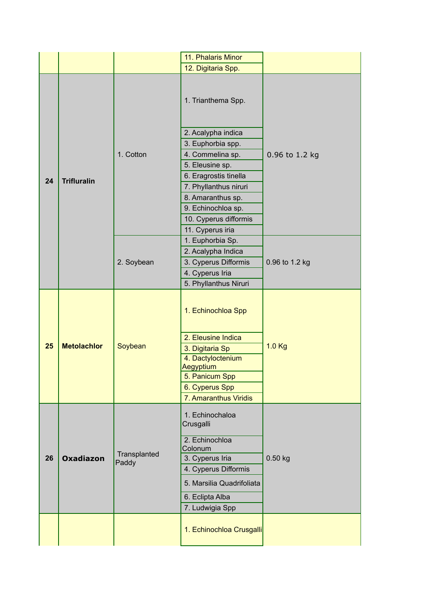|    |                    |              | 11. Phalaris Minor           |                |
|----|--------------------|--------------|------------------------------|----------------|
|    |                    |              | 12. Digitaria Spp.           |                |
|    |                    |              | 1. Trianthema Spp.           |                |
|    |                    |              | 2. Acalypha indica           |                |
|    |                    |              | 3. Euphorbia spp.            |                |
|    |                    | 1. Cotton    | 4. Commelina sp.             | 0.96 to 1.2 kg |
|    |                    |              | 5. Eleusine sp.              |                |
|    |                    |              | 6. Eragrostis tinella        |                |
| 24 | <b>Trifluralin</b> |              | 7. Phyllanthus niruri        |                |
|    |                    |              | 8. Amaranthus sp.            |                |
|    |                    |              | 9. Echinochloa sp.           |                |
|    |                    |              | 10. Cyperus difformis        |                |
|    |                    |              | 11. Cyperus iria             |                |
|    |                    |              | 1. Euphorbia Sp.             |                |
|    |                    |              | 2. Acalypha Indica           |                |
|    |                    | 2. Soybean   | 3. Cyperus Difformis         | 0.96 to 1.2 kg |
|    |                    |              | 4. Cyperus Iria              |                |
|    |                    |              | 5. Phyllanthus Niruri        |                |
|    |                    |              | 1. Echinochloa Spp           |                |
|    |                    |              | 2. Eleusine Indica           |                |
| 25 | <b>Metolachlor</b> | Soybean      | 3. Digitaria Sp              | $1.0$ Kg       |
|    |                    |              | 4. Dactyloctenium            |                |
|    |                    |              | Aegyptium                    |                |
|    |                    |              | 5. Panicum Spp               |                |
|    |                    |              | 6. Cyperus Spp               |                |
|    |                    |              | 7. Amaranthus Viridis        |                |
|    |                    |              | 1. Echinochaloa<br>Crusgalli |                |
|    |                    |              | 2. Echinochloa               |                |
|    |                    | Transplanted | Colonum                      |                |
| 26 | <b>Oxadiazon</b>   | Paddy        | 3. Cyperus Iria              | $0.50$ kg      |
|    |                    |              | 4. Cyperus Difformis         |                |
|    |                    |              | 5. Marsilia Quadrifoliata    |                |
|    |                    |              | 6. Eclipta Alba              |                |
|    |                    |              | 7. Ludwigia Spp              |                |
|    |                    |              |                              |                |
|    |                    |              | 1. Echinochloa Crusgalli     |                |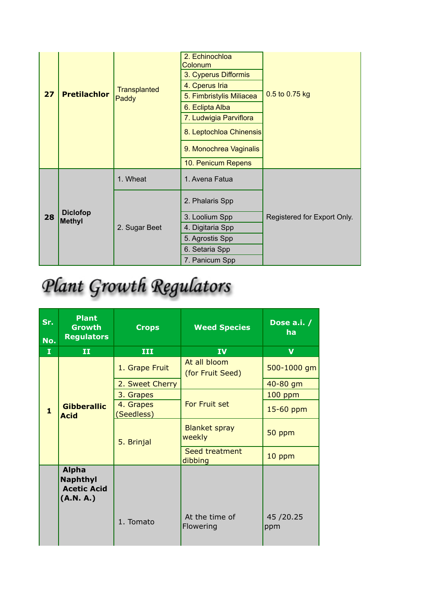|    |                                  |                         | 2. Echinochloa<br>Colonum |                             |
|----|----------------------------------|-------------------------|---------------------------|-----------------------------|
|    | <b>Pretilachlor</b><br>27        |                         | 3. Cyperus Difformis      |                             |
|    |                                  | <b>Transplanted</b>     | 4. Cperus Iria            |                             |
|    |                                  | Paddy                   | 5. Fimbristylis Miliacea  | 0.5 to 0.75 kg              |
|    |                                  |                         | 6. Eclipta Alba           |                             |
|    |                                  |                         | 7. Ludwigia Parviflora    |                             |
|    |                                  | 8. Leptochloa Chinensis |                           |                             |
|    |                                  |                         | 9. Monochrea Vaginalis    |                             |
|    |                                  |                         | 10. Penicum Repens        |                             |
|    |                                  | 1. Wheat                | 1. Avena Fatua            |                             |
|    |                                  |                         | 2. Phalaris Spp           |                             |
| 28 | <b>Diclofop</b><br><b>Methyl</b> |                         | 3. Loolium Spp            | Registered for Export Only. |
|    |                                  | 2. Sugar Beet           | 4. Digitaria Spp          |                             |
|    |                                  |                         | 5. Agrostis Spp           |                             |
|    |                                  |                         | 6. Setaria Spp            |                             |
|    |                                  |                         | 7. Panicum Spp            |                             |

## Plant Growth Regulators

| Sr.<br>No.   | <b>Plant</b><br><b>Growth</b><br><b>Regulators</b>                 | <b>Crops</b>            | <b>Weed Species</b>              | Dose a.i. $/$<br><b>ha</b> |
|--------------|--------------------------------------------------------------------|-------------------------|----------------------------------|----------------------------|
| I            | II                                                                 | III                     | IV <sub></sub>                   | $\mathbf v$                |
|              |                                                                    | 1. Grape Fruit          | At all bloom<br>(for Fruit Seed) | 500-1000 gm                |
|              | <b>Gibberallic</b><br><b>Acid</b>                                  | 2. Sweet Cherry         |                                  | 40-80 gm                   |
|              |                                                                    | 3. Grapes               |                                  | $100$ ppm                  |
| $\mathbf{1}$ |                                                                    | 4. Grapes<br>(Seedless) | For Fruit set                    | 15-60 ppm                  |
|              |                                                                    | 5. Brinjal              | <b>Blanket spray</b><br>weekly   | 50 ppm                     |
|              |                                                                    |                         | Seed treatment<br>dibbing        | 10 ppm                     |
|              | <b>Alpha</b><br><b>Naphthyl</b><br><b>Acetic Acid</b><br>(A.N. A.) |                         |                                  |                            |
|              |                                                                    | 1. Tomato               | At the time of<br>Flowering      | 45/20.25<br>ppm            |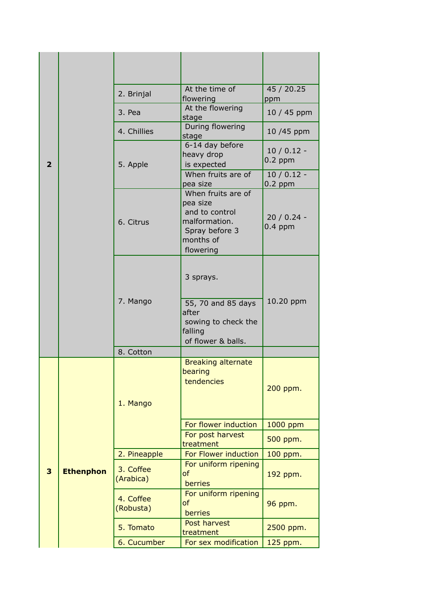|                |                  | 2. Brinjal             | At the time of<br>flowering                                                                                   | 45 / 20.25<br>ppm        |
|----------------|------------------|------------------------|---------------------------------------------------------------------------------------------------------------|--------------------------|
|                |                  | 3. Pea                 | At the flowering<br>stage                                                                                     | 10 / 45 ppm              |
|                |                  | 4. Chillies            | During flowering<br>stage                                                                                     | 10 /45 ppm               |
| $\overline{2}$ |                  | 5. Apple               | 6-14 day before<br>heavy drop<br>is expected                                                                  | $10/0.12 -$<br>$0.2$ ppm |
|                |                  |                        | When fruits are of<br>pea size                                                                                | $10/0.12 -$<br>$0.2$ ppm |
|                |                  | 6. Citrus              | When fruits are of<br>pea size<br>and to control<br>malformation.<br>Spray before 3<br>months of<br>flowering | $20/0.24 -$<br>$0.4$ ppm |
|                |                  | 7. Mango               | 3 sprays.<br>55, 70 and 85 days<br>after<br>sowing to check the<br>falling                                    | 10.20 ppm                |
|                |                  |                        | of flower & balls.                                                                                            |                          |
|                |                  | 8. Cotton              |                                                                                                               |                          |
|                |                  | 1. Mango               | <b>Breaking alternate</b><br>bearing<br>tendencies                                                            | 200 ppm.                 |
|                |                  |                        | For flower induction                                                                                          | 1000 ppm                 |
|                |                  |                        | For post harvest<br>treatment                                                                                 | 500 ppm.                 |
|                |                  | 2. Pineapple           | For Flower induction                                                                                          | 100 ppm.                 |
| 3              | <b>Ethenphon</b> | 3. Coffee<br>(Arabica) | For uniform ripening<br>of<br>berries                                                                         | 192 ppm.                 |
|                |                  | 4. Coffee<br>(Robusta) | For uniform ripening<br>of<br>berries                                                                         | 96 ppm.                  |
|                |                  | 5. Tomato              | Post harvest<br>treatment                                                                                     | 2500 ppm.                |
|                |                  | 6. Cucumber            | For sex modification                                                                                          | 125 ppm.                 |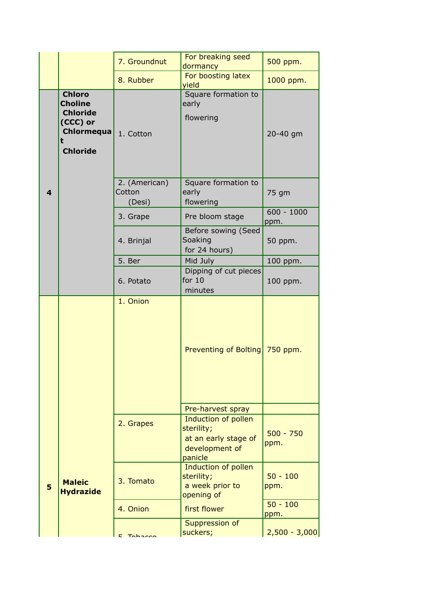|   |                                                                                                      | 7. Groundnut                      | For breaking seed<br>dormancy                                                          | 500 ppm.             |
|---|------------------------------------------------------------------------------------------------------|-----------------------------------|----------------------------------------------------------------------------------------|----------------------|
|   |                                                                                                      | 8. Rubber                         | For boosting latex<br>yield                                                            | 1000 ppm.            |
|   | <b>Chloro</b><br><b>Choline</b><br><b>Chloride</b><br>(CCC) or<br>Chlormequa<br>t<br><b>Chloride</b> | 1. Cotton                         | Square formation to<br>early<br>flowering                                              | 20-40 gm             |
| 4 |                                                                                                      | 2. (American)<br>Cotton<br>(Desi) | Square formation to<br>early<br>flowering                                              | 75 gm                |
|   |                                                                                                      | 3. Grape                          | Pre bloom stage                                                                        | $600 - 1000$<br>ppm. |
|   |                                                                                                      | 4. Brinjal                        | Before sowing (Seed<br>Soaking<br>for 24 hours)                                        | 50 ppm.              |
|   |                                                                                                      | 5. Ber                            | Mid July                                                                               | 100 ppm.             |
|   |                                                                                                      | 6. Potato                         | Dipping of cut pieces<br>for $10$<br>minutes                                           | 100 ppm.             |
|   |                                                                                                      | 1. Onion                          | Preventing of Bolting 750 ppm.                                                         |                      |
|   |                                                                                                      |                                   | Pre-harvest spray                                                                      |                      |
|   |                                                                                                      | 2. Grapes                         | Induction of pollen<br>sterility;<br>at an early stage of<br>development of<br>panicle | $500 - 750$<br>ppm.  |
|   |                                                                                                      |                                   |                                                                                        |                      |
| 5 | <b>Maleic</b><br><b>Hydrazide</b>                                                                    | 3. Tomato                         | Induction of pollen<br>sterility;<br>a week prior to<br>opening of                     | $50 - 100$<br>ppm.   |
|   |                                                                                                      | 4. Onion                          | first flower                                                                           | $50 - 100$<br>ppm.   |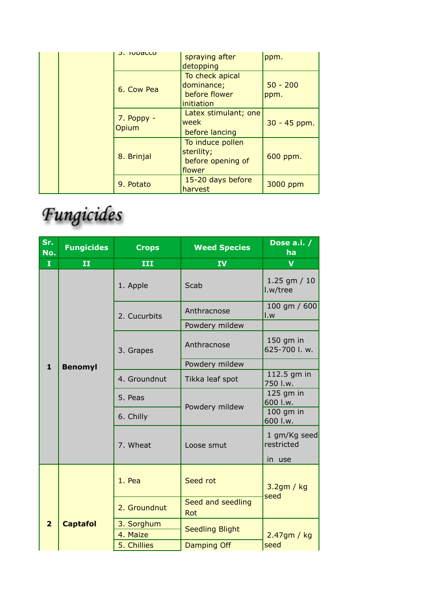| J. IUDdllu            | spraying after       | ppm.         |
|-----------------------|----------------------|--------------|
|                       | detopping            |              |
|                       | To check apical      |              |
| 6. Cow Pea            | dominance;           | $50 - 200$   |
|                       | before flower        | ppm.         |
|                       | initiation           |              |
| $7.$ Poppy -<br>Opium | Latex stimulant; one |              |
|                       | week                 | 30 - 45 ppm. |
|                       | before lancing       |              |
|                       | To induce pollen     |              |
|                       | sterility;           |              |
| 8. Brinjal            | before opening of    | 600 ppm.     |
|                       | flower               |              |
|                       | 15-20 days before    |              |
| 9. Potato             | harvest              | 3000 ppm     |

## Fungicides

| Sr.<br>No.     | <b>Fungicides</b>       | <b>Crops</b>           | <b>Weed Species</b>      | Dose a.i. /<br>ha                    |
|----------------|-------------------------|------------------------|--------------------------|--------------------------------------|
| $\mathbf{I}$   | $\overline{\mathbf{H}}$ | III                    | IV                       | $\overline{\mathbf{V}}$              |
|                |                         | 1. Apple               | Scab                     | $1.25$ gm $/ 10$<br>l.w/tree         |
|                |                         | 2. Cucurbits           | Anthracnose              | 100 gm / 600<br>I.w                  |
|                |                         |                        | Powdery mildew           |                                      |
|                |                         | 3. Grapes              | Anthracnose              | 150 gm in<br>625-700 l. w.           |
| $\mathbf{1}$   | <b>Benomyl</b>          |                        | Powdery mildew           |                                      |
|                |                         | 4. Groundnut           | Tikka leaf spot          | 112.5 gm in<br>750 I.w.              |
|                |                         | 5. Peas                | Powdery mildew           | 125 gm in<br>600 l.w.                |
|                |                         | 6. Chilly              |                          | $100$ gm in<br>600 I.w.              |
|                |                         | 7. Wheat               | Loose smut               | 1 gm/Kg seed<br>restricted<br>in use |
|                |                         |                        |                          |                                      |
|                |                         | 1. Pea                 | Seed rot                 | 3.2gm / kg                           |
|                |                         | 2. Groundnut           | Seed and seedling<br>Rot | seed                                 |
| $\overline{2}$ | <b>Captafol</b>         | 3. Sorghum<br>4. Maize | <b>Seedling Blight</b>   | $2.47$ gm / kg                       |
|                |                         | 5. Chillies            | <b>Damping Off</b>       | seed                                 |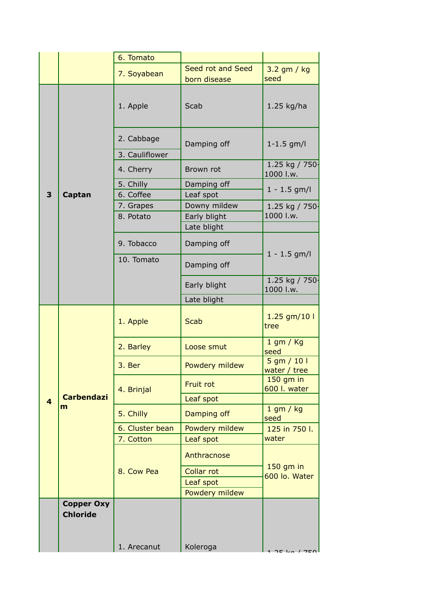|                         |                                      | 6. Tomato                    |                                   |                               |
|-------------------------|--------------------------------------|------------------------------|-----------------------------------|-------------------------------|
|                         |                                      | 7. Soyabean                  | Seed rot and Seed<br>born disease | $3.2$ gm / kg<br>seed         |
|                         |                                      | 1. Apple                     | Scab                              | 1.25 kg/ha                    |
|                         |                                      | 2. Cabbage<br>3. Cauliflower | Damping off                       | $1 - 1.5$ gm/l                |
|                         |                                      | 4. Cherry                    | Brown rot                         | 1.25 kg / 750-<br>1000 l.w.   |
| 3                       | Captan                               | 5. Chilly<br>6. Coffee       | Damping off<br>Leaf spot          | $1 - 1.5$ gm/l                |
|                         |                                      | 7. Grapes<br>8. Potato       | Downy mildew<br>Early blight      | 1.25 kg / 750-<br>1000 l.w.   |
|                         |                                      |                              | Late blight                       |                               |
|                         |                                      | 9. Tobacco                   | Damping off                       | $1 - 1.5$ gm/l                |
|                         |                                      | 10. Tomato                   | Damping off                       |                               |
|                         |                                      |                              | Early blight                      | 1.25 kg / 750-<br>1000 l.w.   |
|                         |                                      |                              | Late blight                       |                               |
|                         |                                      | 1. Apple                     | <b>Scab</b>                       | 1.25 gm/10 l<br>tree          |
|                         |                                      | 2. Barley                    | Loose smut                        | $1$ gm / Kg<br>seed           |
|                         |                                      | 3. Ber                       | Powdery mildew                    | $5$ gm / 10 l<br>water / tree |
|                         | <b>Carbendazi</b>                    | 4. Brinjal                   | Fruit rot                         | $150$ gm in<br>600 l. water   |
| $\overline{\mathbf{A}}$ | m                                    |                              | Leaf spot                         | $1$ gm / kg                   |
|                         |                                      | 5. Chilly                    | Damping off                       | seed                          |
|                         |                                      | 6. Cluster bean              | Powdery mildew                    | 125 in 750 l.                 |
|                         |                                      | 7. Cotton                    | Leaf spot                         | water                         |
|                         |                                      |                              | Anthracnose                       | 150 gm in                     |
|                         |                                      | 8. Cow Pea                   | <b>Collar rot</b>                 | 600 lo. Water                 |
|                         |                                      |                              | Leaf spot<br>Powdery mildew       |                               |
|                         | <b>Copper Oxy</b><br><b>Chloride</b> |                              |                                   |                               |
|                         |                                      | 1. Arecanut                  | Koleroga                          |                               |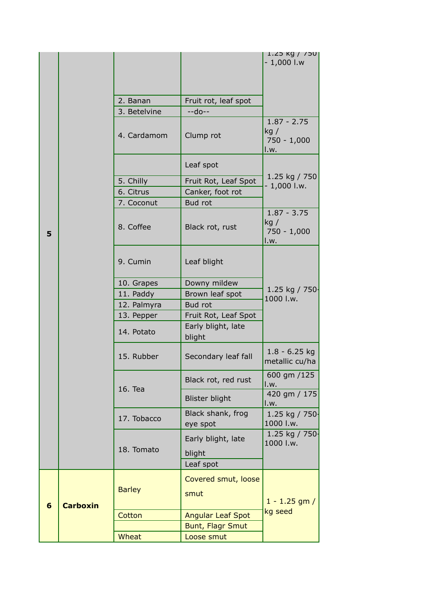|   |                 |               |                                     | טכי / Kg / נ<br>$-1,000$ l.w                  |
|---|-----------------|---------------|-------------------------------------|-----------------------------------------------|
|   |                 | 2. Banan      |                                     |                                               |
|   |                 | 3. Betelvine  | Fruit rot, leaf spot<br>$-$ -do $-$ |                                               |
|   |                 | 4. Cardamom   | Clump rot                           | $1.87 - 2.75$<br>kg/<br>$750 - 1,000$<br>I.w. |
|   |                 |               | Leaf spot                           |                                               |
|   |                 | 5. Chilly     | Fruit Rot, Leaf Spot                | 1.25 kg / 750                                 |
|   |                 | 6. Citrus     | Canker, foot rot                    | $-1,000$ l.w.                                 |
|   |                 | 7. Coconut    | Bud rot                             |                                               |
| 5 |                 | 8. Coffee     | Black rot, rust                     | $1.87 - 3.75$<br>kg/<br>$750 - 1,000$<br>I.w. |
|   |                 | 9. Cumin      | Leaf blight                         |                                               |
|   |                 | 10. Grapes    | Downy mildew                        |                                               |
|   |                 | 11. Paddy     | Brown leaf spot                     | 1.25 kg / 750-<br>1000 l.w.                   |
|   |                 | 12. Palmyra   | <b>Bud rot</b>                      |                                               |
|   |                 | 13. Pepper    | Fruit Rot, Leaf Spot                |                                               |
|   |                 | 14. Potato    | Early blight, late<br>blight        |                                               |
|   |                 | 15. Rubber    | Secondary leaf fall                 | $1.8 - 6.25$ kg<br>metallic cu/ha             |
|   |                 | 16. Tea       | Black rot, red rust                 | 600 gm /125<br>I.w.                           |
|   |                 |               | <b>Blister blight</b>               | 420 gm / 175<br>I.w.                          |
|   |                 | 17. Tobacco   | Black shank, frog<br>eye spot       | 1.25 kg / 750-<br>1000 l.w.                   |
|   |                 | 18. Tomato    | Early blight, late<br>blight        | 1.25 kg / 750 $-$<br>1000 l.w.                |
|   |                 |               | Leaf spot                           |                                               |
| 6 | <b>Carboxin</b> | <b>Barley</b> | Covered smut, loose<br>smut         | $1 - 1.25$ gm /<br>kg seed                    |
|   |                 | Cotton        | <b>Angular Leaf Spot</b>            |                                               |
|   |                 |               | <b>Bunt, Flagr Smut</b>             |                                               |
|   |                 | Wheat         | Loose smut                          |                                               |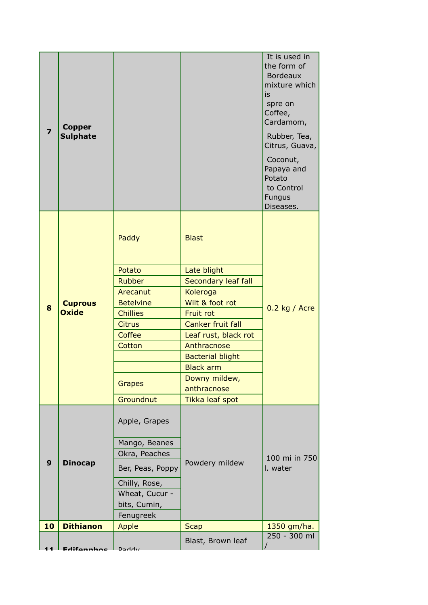| Coffee<br>Leaf rust, black rot<br>Anthracnose<br>Cotton<br><b>Bacterial blight</b><br><b>Black arm</b><br>Downy mildew,<br><b>Grapes</b><br>anthracnose<br>Groundnut<br>Tikka leaf spot | Potato<br>Late blight<br>Secondary leaf fall<br><b>Rubber</b><br>Koleroga<br>Arecanut<br>Wilt & foot rot<br><b>Betelvine</b><br><b>Cuprous</b><br>8<br><b>Oxide</b><br><b>Chillies</b><br>Fruit rot<br><b>Canker fruit fall</b><br><b>Citrus</b> |                         |                                  |  | $0.2$ kg / Acre                                                                                                           |
|-----------------------------------------------------------------------------------------------------------------------------------------------------------------------------------------|--------------------------------------------------------------------------------------------------------------------------------------------------------------------------------------------------------------------------------------------------|-------------------------|----------------------------------|--|---------------------------------------------------------------------------------------------------------------------------|
| Apple, Grapes<br>Mango, Beanes<br>Okra, Peaches<br><b>Dinocap</b><br>Powdery mildew<br>9<br>Ber, Peas, Poppy<br>I. water                                                                |                                                                                                                                                                                                                                                  |                         |                                  |  |                                                                                                                           |
| Wheat, Cucur -<br>bits, Cumin,                                                                                                                                                          | Chilly, Rose,                                                                                                                                                                                                                                    |                         |                                  |  | 100 mi in 750                                                                                                             |
| Fenugreek                                                                                                                                                                               |                                                                                                                                                                                                                                                  |                         |                                  |  |                                                                                                                           |
|                                                                                                                                                                                         |                                                                                                                                                                                                                                                  |                         |                                  |  |                                                                                                                           |
|                                                                                                                                                                                         |                                                                                                                                                                                                                                                  |                         |                                  |  |                                                                                                                           |
| <b>Blast</b><br>Paddy                                                                                                                                                                   |                                                                                                                                                                                                                                                  |                         |                                  |  | Citrus, Guava,<br>Coconut,<br>Papaya and<br>Potato<br>to Control<br>Fungus                                                |
| Diseases.                                                                                                                                                                               |                                                                                                                                                                                                                                                  | $\overline{\mathbf{z}}$ | <b>Copper</b><br><b>Sulphate</b> |  | It is used in<br>the form of<br><b>Bordeaux</b><br>mixture which<br>is<br>spre on<br>Coffee,<br>Cardamom,<br>Rubber, Tea, |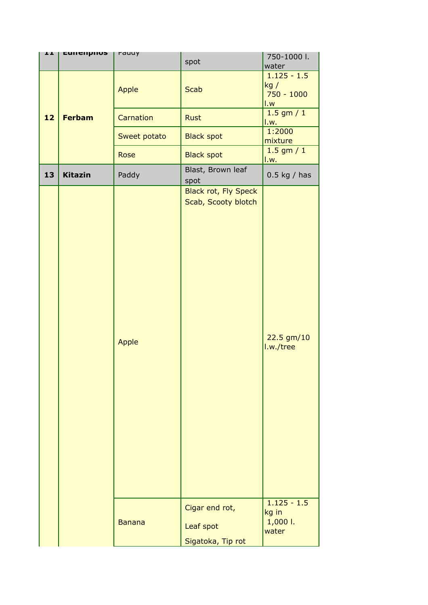| ᆂᆂ | currempnos     | rauuy         | spot                                               | 750-1000 l.                                                              |
|----|----------------|---------------|----------------------------------------------------|--------------------------------------------------------------------------|
|    |                | Apple         | <b>Scab</b>                                        | water<br>$1.125 - 1.5$<br>kg/<br>$750 - 1000$<br>$\mathsf{L} \mathsf{w}$ |
| 12 | <b>Ferbam</b>  | Carnation     | <b>Rust</b>                                        | $1.5$ gm $/ 1$<br>1.w.                                                   |
|    |                | Sweet potato  | <b>Black spot</b>                                  | 1:2000<br>mixture                                                        |
|    |                | Rose          | <b>Black spot</b>                                  | $1.5$ gm $/ 1$<br>1.w.                                                   |
| 13 | <b>Kitazin</b> | Paddy         | Blast, Brown leaf<br>spot                          | $0.5$ kg / has                                                           |
|    |                | Apple         | <b>Black rot, Fly Speck</b><br>Scab, Scooty blotch | 22.5 gm/10<br>I.w./tree<br>$1.125 - 1.5$                                 |
|    |                | <b>Banana</b> | Cigar end rot,<br>Leaf spot<br>Sigatoka, Tip rot   | kg in<br>1,000 l.<br>water                                               |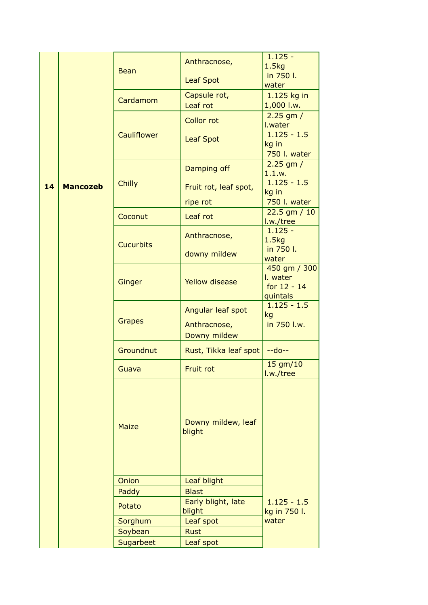|    |                 | <b>Bean</b>        | Anthracnose,                 | $1.125 -$<br>1.5kg                                  |
|----|-----------------|--------------------|------------------------------|-----------------------------------------------------|
|    |                 |                    | <b>Leaf Spot</b>             | in 750 l.<br>water                                  |
|    |                 | Cardamom           | Capsule rot,<br>Leaf rot     | 1.125 kg in<br>1,000 l.w.                           |
|    |                 |                    | <b>Collor rot</b>            | $2.25$ gm $/$<br>I.water                            |
|    |                 | <b>Cauliflower</b> | <b>Leaf Spot</b>             | $1.125 - 1.5$<br>kg in<br>750 l. water              |
|    |                 |                    | Damping off                  | $2.25$ gm $/$<br>1.1.w.                             |
| 14 | <b>Mancozeb</b> | <b>Chilly</b>      | Fruit rot, leaf spot,        | $1.125 - 1.5$<br>kg in                              |
|    |                 |                    | ripe rot                     | 750 l. water                                        |
|    |                 | Coconut            | Leaf rot                     | $22.5$ gm $/ 10$<br>I.w./tree                       |
|    |                 | <b>Cucurbits</b>   | Anthracnose,                 | $1.125 -$<br>1.5 <sub>kq</sub>                      |
|    |                 |                    | downy mildew                 | in 750 l.<br>water                                  |
|    |                 | Ginger             | <b>Yellow disease</b>        | 450 gm / 300<br>I. water<br>for 12 - 14<br>quintals |
|    |                 |                    | Angular leaf spot            | $1.125 - 1.5$<br>kg                                 |
|    |                 | <b>Grapes</b>      | Anthracnose,<br>Downy mildew | in 750 l.w.                                         |
|    |                 | Groundnut          | Rust, Tikka leaf spot        | $-do--$                                             |
|    |                 | Guava              | Fruit rot                    | $15$ gm/ $10$<br>I.w./tree                          |
|    |                 | <b>Maize</b>       | Downy mildew, leaf<br>blight |                                                     |
|    |                 | <b>Onion</b>       | Leaf blight                  |                                                     |
|    |                 | Paddy              | <b>Blast</b>                 |                                                     |
|    |                 | Potato             | Early blight, late<br>blight | $1.125 - 1.5$<br>kg in 750 l.                       |
|    |                 | Sorghum            | Leaf spot                    | water                                               |
|    |                 | Soybean            | <b>Rust</b>                  |                                                     |
|    |                 | Sugarbeet          | Leaf spot                    |                                                     |
|    |                 |                    |                              |                                                     |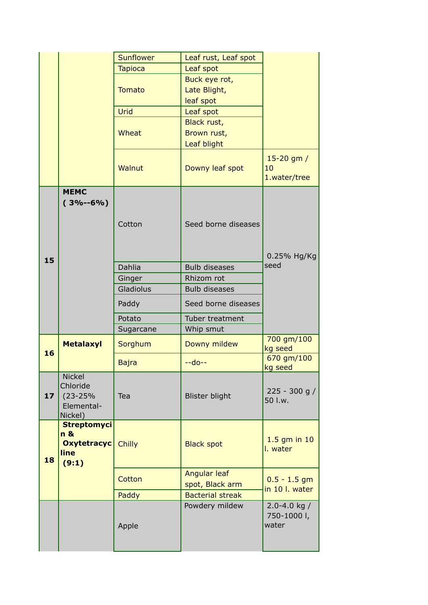|                 |                                                                    | Sunflower      | Leaf rust, Leaf spot            |                                        |
|-----------------|--------------------------------------------------------------------|----------------|---------------------------------|----------------------------------------|
|                 |                                                                    | <b>Tapioca</b> | Leaf spot                       |                                        |
|                 |                                                                    |                | Buck eye rot,                   |                                        |
|                 |                                                                    | <b>Tomato</b>  | Late Blight,                    |                                        |
|                 |                                                                    |                | leaf spot                       |                                        |
|                 |                                                                    | Urid           | Leaf spot                       |                                        |
|                 |                                                                    |                | Black rust,                     |                                        |
|                 |                                                                    | Wheat          | Brown rust,                     |                                        |
|                 |                                                                    |                | Leaf blight                     |                                        |
|                 |                                                                    | Walnut         | Downy leaf spot                 | 15-20 gm /<br>10<br>1.water/tree       |
|                 | <b>MEMC</b><br>$(3% - 6% )$                                        | Cotton         | Seed borne diseases             | 0.25% Hg/Kg                            |
| 15              |                                                                    | Dahlia         | <b>Bulb diseases</b>            | seed                                   |
|                 |                                                                    | Ginger         | Rhizom rot                      |                                        |
|                 |                                                                    | Gladiolus      | <b>Bulb diseases</b>            |                                        |
|                 |                                                                    | Paddy          | Seed borne diseases             |                                        |
|                 |                                                                    | Potato         | Tuber treatment                 |                                        |
|                 |                                                                    | Sugarcane      | Whip smut                       |                                        |
| 16              | <b>Metalaxyl</b>                                                   | Sorghum        | Downy mildew                    | 700 gm/100<br>kg seed                  |
|                 |                                                                    | <b>Bajra</b>   | $-$ -do $-$                     | 670 gm/100<br>kg seed                  |
| 17 <sub>2</sub> | <b>Nickel</b><br>Chloride<br>$(23 - 25%)$<br>Elemental-<br>Nickel) | Tea            | <b>Blister blight</b>           | $225 - 300$ g /<br>50 l.w.             |
| 18              | <b>Streptomyci</b><br>n &<br><b>Oxytetracyc</b><br>line<br>(9:1)   | <b>Chilly</b>  | <b>Black spot</b>               | $1.5$ gm in $10$<br>I. water           |
|                 |                                                                    | Cotton         | Angular leaf<br>spot, Black arm | $0.5 - 1.5$ gm<br>in 10 l. water       |
|                 |                                                                    | Paddy          | <b>Bacterial streak</b>         |                                        |
|                 |                                                                    | Apple          | Powdery mildew                  | 2.0-4.0 kg $/$<br>750-1000 l,<br>water |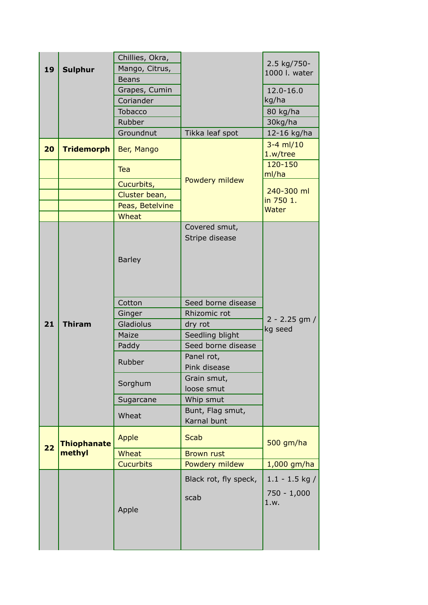|    |                    | Chillies, Okra,  |                                  |                                           |
|----|--------------------|------------------|----------------------------------|-------------------------------------------|
| 19 | <b>Sulphur</b>     | Mango, Citrus,   |                                  | 2.5 kg/750-<br>1000 l. water              |
|    |                    | <b>Beans</b>     |                                  |                                           |
|    |                    | Grapes, Cumin    |                                  | 12.0-16.0                                 |
|    |                    | Coriander        |                                  | kg/ha                                     |
|    |                    | Tobacco          |                                  | 80 kg/ha                                  |
|    |                    | Rubber           |                                  | 30kg/ha                                   |
|    |                    | Groundnut        | Tikka leaf spot                  | 12-16 kg/ha                               |
| 20 | <b>Tridemorph</b>  | Ber, Mango       |                                  | $3-4$ ml/10<br>1.w/tree                   |
|    |                    | Tea              | Powdery mildew                   | 120-150<br>ml/ha                          |
|    |                    | Cucurbits,       |                                  | 240-300 ml                                |
|    |                    | Cluster bean,    |                                  | in 750 1.                                 |
|    |                    | Peas, Betelvine  |                                  | <b>Water</b>                              |
|    |                    | Wheat            |                                  |                                           |
|    |                    | <b>Barley</b>    | Covered smut,<br>Stripe disease  |                                           |
|    |                    | Cotton           | Seed borne disease               |                                           |
|    |                    | Ginger           | Rhizomic rot                     | $2 - 2.25$ gm /                           |
| 21 | <b>Thiram</b>      | Gladiolus        | dry rot                          | kg seed                                   |
|    |                    | Maize            | Seedling blight                  |                                           |
|    |                    | Paddy            | Seed borne disease<br>Panel rot, |                                           |
|    |                    | Rubber           | Pink disease                     |                                           |
|    |                    |                  | Grain smut,                      |                                           |
|    |                    | Sorghum          | loose smut                       |                                           |
|    |                    | Sugarcane        | Whip smut                        |                                           |
|    |                    | Wheat            | Bunt, Flag smut,<br>Karnal bunt  |                                           |
| 22 | <b>Thiophanate</b> | Apple            | <b>Scab</b>                      | 500 gm/ha                                 |
|    | methyl             | Wheat            | <b>Brown rust</b>                |                                           |
|    |                    | <b>Cucurbits</b> | Powdery mildew                   | 1,000 gm/ha                               |
|    |                    | Apple            | Black rot, fly speck,<br>scab    | $1.1 - 1.5$ kg /<br>$750 - 1,000$<br>1.w. |
|    |                    |                  |                                  |                                           |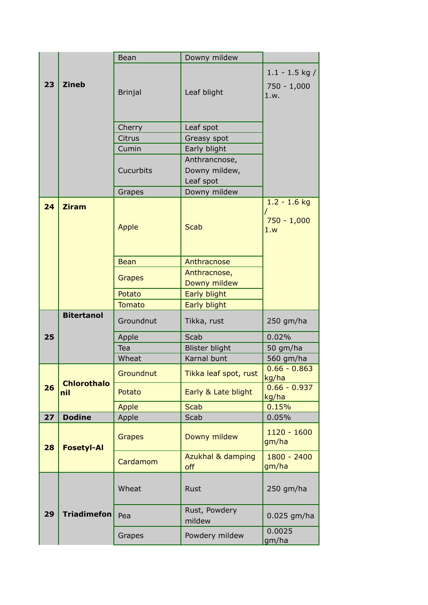|    |                    | <b>Bean</b>    | Downy mildew                                |                                           |
|----|--------------------|----------------|---------------------------------------------|-------------------------------------------|
| 23 | <b>Zineb</b>       | <b>Brinjal</b> | Leaf blight                                 | $1.1 - 1.5$ kg /<br>$750 - 1,000$<br>1.w. |
|    |                    | Cherry         | Leaf spot                                   |                                           |
|    |                    | Citrus         | Greasy spot                                 |                                           |
|    |                    | Cumin          | Early blight                                |                                           |
|    |                    | Cucurbits      | Anthrancnose,<br>Downy mildew,<br>Leaf spot |                                           |
|    |                    | Grapes         | Downy mildew                                |                                           |
| 24 | <b>Ziram</b>       | Apple          | <b>Scab</b>                                 | $1.2 - 1.6$ kg<br>$750 - 1,000$<br>1.w    |
|    |                    | <b>Bean</b>    | Anthracnose                                 |                                           |
|    |                    | <b>Grapes</b>  | Anthracnose,<br>Downy mildew                |                                           |
|    |                    | Potato         | Early blight                                |                                           |
|    |                    | <b>Tomato</b>  | Early blight                                |                                           |
|    | <b>Bitertanol</b>  | Groundnut      | Tikka, rust                                 | $250$ gm/ha                               |
| 25 |                    | Apple          | Scab                                        | 0.02%                                     |
|    |                    | Tea            | <b>Blister blight</b>                       | 50 gm/ha                                  |
|    |                    | Wheat          | Karnal bunt                                 | 560 gm/ha                                 |
|    | <b>Chlorothalo</b> | Groundnut      | Tikka leaf spot, rust                       | $0.66 - 0.863$<br>kg/ha                   |
| 26 | nil                | Potato         | Early & Late blight                         | $0.66 - 0.937$<br>kg/ha                   |
|    |                    | <b>Apple</b>   | <b>Scab</b>                                 | 0.15%                                     |
| 27 | <b>Dodine</b>      | Apple          | Scab                                        | 0.05%                                     |
| 28 | <b>Fosetyl-Al</b>  | <b>Grapes</b>  | Downy mildew                                | $1120 - 1600$<br>gm/ha                    |
|    |                    | Cardamom       | Azukhal & damping<br>off                    | $1800 - 2400$<br>gm/ha                    |
|    |                    | Wheat          | Rust                                        | 250 gm/ha                                 |
| 29 | <b>Triadimefon</b> | Pea            | Rust, Powdery<br>mildew                     | $0.025$ gm/ha                             |
|    |                    | Grapes         | Powdery mildew                              | 0.0025<br>gm/ha                           |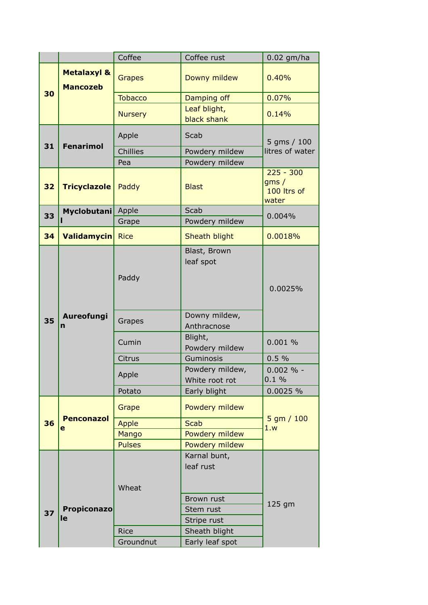|    |                                           | Coffee                   | Coffee rust                            | $0.02$ gm/ha                                |
|----|-------------------------------------------|--------------------------|----------------------------------------|---------------------------------------------|
|    | <b>Metalaxyl &amp;</b><br><b>Mancozeb</b> | <b>Grapes</b>            | Downy mildew                           | 0.40%                                       |
| 30 |                                           | <b>Tobacco</b>           | Damping off                            | 0.07%                                       |
|    |                                           | <b>Nursery</b>           | Leaf blight,<br>black shank            | 0.14%                                       |
| 31 | <b>Fenarimol</b>                          | Apple                    | Scab                                   | 5 gms / 100                                 |
|    |                                           | Chillies                 | Powdery mildew                         | litres of water                             |
|    |                                           | Pea                      | Powdery mildew                         |                                             |
| 32 | <b>Tricyclazole</b>                       | Paddy                    | <b>Blast</b>                           | $225 - 300$<br>gms/<br>100 ltrs of<br>water |
| 33 | Myclobutani                               | Apple                    | Scab                                   | 0.004%                                      |
|    |                                           | Grape                    | Powdery mildew                         |                                             |
| 34 | <b>Validamycin</b>                        | <b>Rice</b>              | Sheath blight                          | 0.0018%                                     |
|    |                                           | Paddy                    | Blast, Brown<br>leaf spot              | 0.0025%                                     |
| 35 | Aureofungi<br>n                           | Grapes                   | Downy mildew,<br>Anthracnose           |                                             |
|    |                                           | Cumin                    | Blight,<br>Powdery mildew              | 0.001%                                      |
|    |                                           | Citrus                   | Guminosis                              | 0.5%                                        |
|    |                                           | Apple                    | Powdery mildew,<br>White root rot      | $0.002 \%$ -<br>0.1%                        |
|    |                                           | Potato                   | Early blight                           | 0.0025 %                                    |
|    |                                           | Grape                    | Powdery mildew                         |                                             |
| 36 | <b>Penconazol</b><br>e                    | <b>Apple</b>             | <b>Scab</b>                            | $5$ gm $/ 100$<br>1.w                       |
|    |                                           | Mango                    | Powdery mildew                         |                                             |
|    |                                           | <b>Pulses</b>            | Powdery mildew                         |                                             |
|    |                                           | Wheat                    | Karnal bunt,<br>leaf rust              |                                             |
| 37 | <b>Propiconazo</b><br>le                  |                          | Brown rust<br>Stem rust<br>Stripe rust | 125 gm                                      |
|    |                                           | <b>Rice</b><br>Groundnut | Sheath blight                          |                                             |
|    |                                           |                          | Early leaf spot                        |                                             |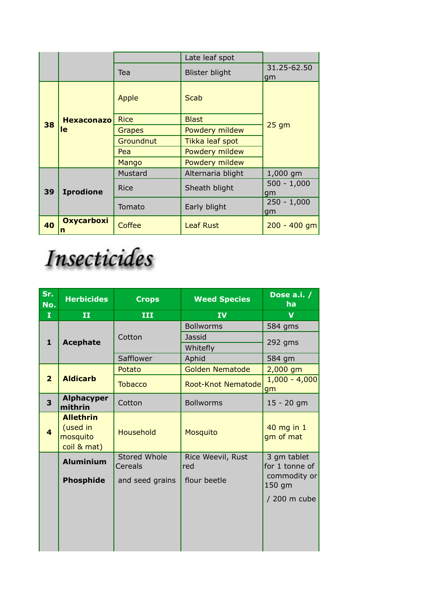|    |                        |               | Late leaf spot        |                     |
|----|------------------------|---------------|-----------------------|---------------------|
|    |                        | Tea           | <b>Blister blight</b> | 31.25-62.50<br>gm   |
|    |                        | Apple         | Scab                  |                     |
| 38 | <b>Hexaconazo</b>      | <b>Rice</b>   | <b>Blast</b>          | $25$ gm             |
|    | le                     | <b>Grapes</b> | Powdery mildew        |                     |
|    |                        | Groundnut     | Tikka leaf spot       |                     |
|    |                        | Pea           | Powdery mildew        |                     |
|    |                        | Mango         | Powdery mildew        |                     |
|    |                        | Mustard       | Alternaria blight     | 1,000 gm            |
| 39 | <b>Iprodione</b>       | <b>Rice</b>   | Sheath blight         | $500 - 1,000$<br>gm |
|    |                        | Tomato        | Early blight          | $250 - 1,000$<br>qm |
| 40 | <b>Oxycarboxi</b><br>n | Coffee        | <b>Leaf Rust</b>      | $200 - 400$ gm      |

## Insecticides

| Sr.<br>No.              | <b>Herbicides</b>                                       | <b>Crops</b>            | <b>Weed Species</b>                    | Dose a.i. /<br><b>ha</b>      |
|-------------------------|---------------------------------------------------------|-------------------------|----------------------------------------|-------------------------------|
| I                       | $\mathbf{I}$                                            | III                     | <b>IV</b>                              | $\mathbf v$                   |
| $\mathbf{1}$            | <b>Acephate</b>                                         | Cotton                  | <b>Bollworms</b><br>Jassid<br>Whitefly | 584 gms<br>$292$ gms          |
|                         |                                                         | Safflower               | Aphid                                  | 584 gm                        |
|                         |                                                         | Potato                  | <b>Golden Nematode</b>                 | 2,000 gm                      |
| $\overline{2}$          | <b>Aldicarb</b>                                         | <b>Tobacco</b>          | <b>Root-Knot Nematode</b>              | $1,000 - 4,000$<br>gm         |
| 3                       | <b>Alphacyper</b><br>mithrin                            | Cotton                  | <b>Bollworms</b>                       | $15 - 20$ gm                  |
| $\overline{\mathbf{4}}$ | <b>Allethrin</b><br>(used in<br>mosquito<br>coil & mat) | Household               | Mosquito                               | 40 mg in 1<br>gm of mat       |
|                         | <b>Aluminium</b>                                        | Stored Whole<br>Cereals | Rice Weevil, Rust<br>red               | 3 gm tablet<br>for 1 tonne of |
|                         | <b>Phosphide</b>                                        | and seed grains         | flour beetle                           | commodity or<br>150 gm        |
|                         |                                                         |                         |                                        | / 200 m cube                  |
|                         |                                                         |                         |                                        |                               |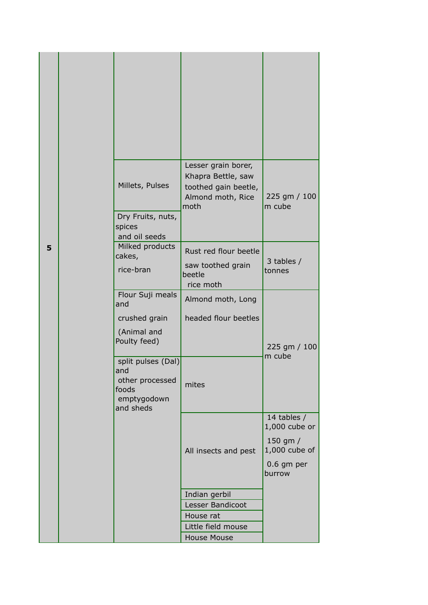|   | Millets, Pulses                                                                   | Lesser grain borer,<br>Khapra Bettle, saw<br>toothed gain beetle,<br>Almond moth, Rice<br>moth | 225 gm / 100<br>m cube                   |
|---|-----------------------------------------------------------------------------------|------------------------------------------------------------------------------------------------|------------------------------------------|
|   | Dry Fruits, nuts,<br>spices<br>and oil seeds                                      |                                                                                                |                                          |
| 5 | Milked products<br>cakes,<br>rice-bran                                            | Rust red flour beetle<br>saw toothed grain<br>beetle                                           | 3 tables /<br>tonnes                     |
|   | Flour Suji meals                                                                  | rice moth<br>Almond moth, Long                                                                 |                                          |
|   | and<br>crushed grain                                                              | headed flour beetles                                                                           |                                          |
|   | (Animal and<br>Poulty feed)                                                       |                                                                                                | 225 gm / 100                             |
|   | split pulses (Dal)<br>and<br>other processed<br>foods<br>emptygodown<br>and sheds | mites                                                                                          | m cube                                   |
|   |                                                                                   |                                                                                                | 14 tables /<br>1,000 cube or<br>150 gm / |
|   |                                                                                   | All insects and pest                                                                           | 1,000 cube of<br>$0.6$ gm per<br>burrow  |
|   |                                                                                   | Indian gerbil                                                                                  |                                          |
|   |                                                                                   | Lesser Bandicoot                                                                               |                                          |
|   |                                                                                   | House rat                                                                                      |                                          |
|   |                                                                                   | Little field mouse                                                                             |                                          |
|   |                                                                                   | <b>House Mouse</b>                                                                             |                                          |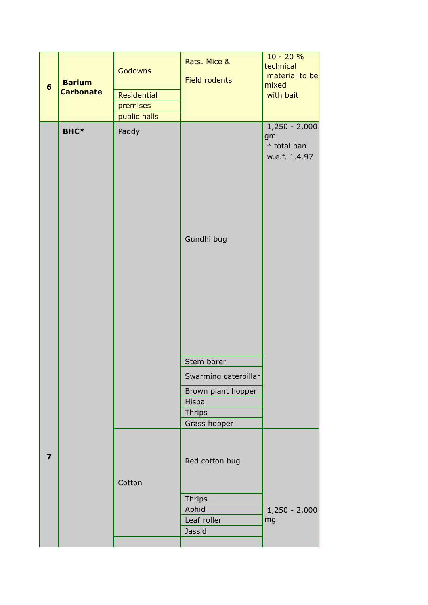| $6\phantom{1}$          | <b>Barium</b><br><b>Carbonate</b> | <b>Godowns</b><br>Residential<br>premises<br>public halls | Rats. Mice &<br>Field rodents | $10 - 20%$<br>technical<br>material to be<br>mixed<br>with bait |
|-------------------------|-----------------------------------|-----------------------------------------------------------|-------------------------------|-----------------------------------------------------------------|
|                         | <b>BHC*</b>                       | Paddy                                                     | Gundhi bug                    | $1,250 - 2,000$<br>gm<br>* total ban<br>w.e.f. 1.4.97           |
|                         |                                   |                                                           | Stem borer                    |                                                                 |
|                         |                                   |                                                           | Swarming caterpillar          |                                                                 |
|                         |                                   |                                                           | Brown plant hopper            |                                                                 |
|                         |                                   |                                                           | Hispa<br><b>Thrips</b>        |                                                                 |
|                         |                                   |                                                           | Grass hopper                  |                                                                 |
| $\overline{\mathbf{z}}$ |                                   | Cotton                                                    | Red cotton bug                |                                                                 |
|                         |                                   |                                                           | <b>Thrips</b><br>Aphid        | $1,250 - 2,000$                                                 |
|                         |                                   |                                                           | Leaf roller                   | mg                                                              |
|                         |                                   |                                                           | Jassid                        |                                                                 |
|                         |                                   |                                                           |                               |                                                                 |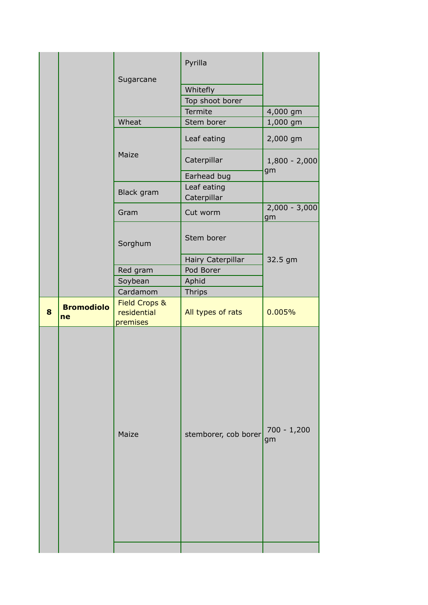|   |                         | Sugarcane                                | Pyrilla<br>Whitefly<br>Top shoot borer<br>Termite | 4,000 gm              |
|---|-------------------------|------------------------------------------|---------------------------------------------------|-----------------------|
|   |                         | Wheat                                    | Stem borer                                        | 1,000 gm              |
|   |                         |                                          | Leaf eating                                       | 2,000 gm              |
|   |                         | Maize                                    | Caterpillar                                       | $1,800 - 2,000$<br>gm |
|   |                         | Black gram                               | Earhead bug<br>Leaf eating<br>Caterpillar         |                       |
|   |                         | Gram                                     | Cut worm                                          | $2,000 - 3,000$<br>gm |
|   |                         | Sorghum                                  | Stem borer                                        |                       |
|   |                         |                                          | Hairy Caterpillar                                 | 32.5 gm               |
|   |                         | Red gram                                 | Pod Borer                                         |                       |
|   |                         | Soybean                                  | Aphid                                             |                       |
|   |                         | Cardamom                                 | <b>Thrips</b>                                     |                       |
| 8 | <b>Bromodiolo</b><br>ne | Field Crops &<br>residential<br>premises | All types of rats                                 | 0.005%                |
|   |                         | Maize                                    | stemborer, cob borer                              | $700 - 1,200$<br>gm   |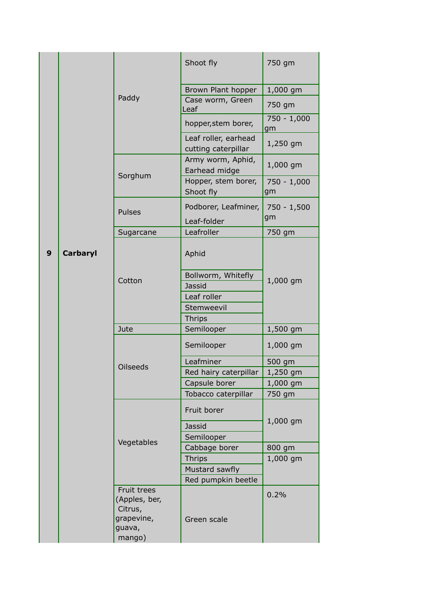|   |                 |                                                       | Shoot fly                                   | 750 gm              |
|---|-----------------|-------------------------------------------------------|---------------------------------------------|---------------------|
|   |                 |                                                       | Brown Plant hopper                          | 1,000 gm            |
|   | Paddy           | Case worm, Green<br>Leaf                              | 750 gm                                      |                     |
|   |                 |                                                       | hopper, stem borer,                         | $750 - 1,000$<br>gm |
|   |                 |                                                       | Leaf roller, earhead<br>cutting caterpillar | 1,250 gm            |
|   |                 |                                                       | Army worm, Aphid,<br>Earhead midge          | 1,000 gm            |
|   |                 | Sorghum                                               | Hopper, stem borer,<br>Shoot fly            | $750 - 1,000$<br>gm |
|   |                 | <b>Pulses</b>                                         | Podborer, Leafminer,<br>Leaf-folder         | $750 - 1,500$<br>gm |
|   | Sugarcane       | Leafroller                                            | 750 gm                                      |                     |
| 9 | <b>Carbaryl</b> |                                                       | Aphid                                       |                     |
|   |                 | Cotton                                                | Bollworm, Whitefly                          | 1,000 gm            |
|   |                 |                                                       | <b>Jassid</b>                               |                     |
|   |                 |                                                       | Leaf roller                                 |                     |
|   |                 |                                                       | Stemweevil                                  |                     |
|   |                 |                                                       | <b>Thrips</b>                               |                     |
|   |                 | Jute                                                  | Semilooper                                  | 1,500 gm            |
|   |                 |                                                       | Semilooper                                  | 1,000 gm            |
|   |                 | <b>Oilseeds</b>                                       | Leafminer                                   | 500 gm              |
|   |                 |                                                       | Red hairy caterpillar                       | 1,250 gm            |
|   |                 |                                                       | Capsule borer                               | $1,000$ gm          |
|   |                 |                                                       | Tobacco caterpillar                         | 750 gm              |
|   |                 |                                                       | Fruit borer                                 | 1,000 gm            |
|   |                 |                                                       | Jassid                                      |                     |
|   |                 | Vegetables                                            | Semilooper                                  |                     |
|   |                 |                                                       | Cabbage borer                               | 800 gm              |
|   |                 |                                                       | <b>Thrips</b>                               | 1,000 gm            |
|   |                 |                                                       | Mustard sawfly                              |                     |
|   |                 |                                                       | Red pumpkin beetle                          |                     |
|   |                 | Fruit trees<br>(Apples, ber,<br>Citrus,<br>grapevine, | Green scale                                 | 0.2%                |
|   |                 | guava,<br>mango)                                      |                                             |                     |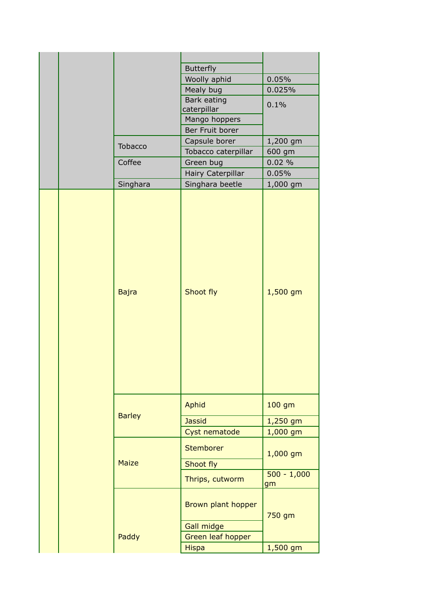|  |  |                 | <b>Butterfly</b>                 |            |
|--|--|-----------------|----------------------------------|------------|
|  |  |                 | Woolly aphid                     | 0.05%      |
|  |  |                 | Mealy bug                        | 0.025%     |
|  |  |                 | Bark eating                      | 0.1%       |
|  |  |                 | caterpillar                      |            |
|  |  |                 | Mango hoppers                    |            |
|  |  |                 | Ber Fruit borer                  |            |
|  |  | Tobacco         | Capsule borer                    | 1,200 gm   |
|  |  |                 | Tobacco caterpillar              | 600 gm     |
|  |  | Coffee          | Green bug                        | 0.02%      |
|  |  |                 | Hairy Caterpillar                | 0.05%      |
|  |  | Singhara        | Singhara beetle                  | 1,000 gm   |
|  |  | <b>Bajra</b>    | Shoot fly                        | 1,500 gm   |
|  |  |                 | Aphid                            | 100 gm     |
|  |  | <b>Barley</b>   | <b>Jassid</b>                    | 1,250 gm   |
|  |  |                 | Cyst nematode                    | $1,000$ gm |
|  |  | Stemborer       | 1,000 gm                         |            |
|  |  | <b>Maize</b>    | Shoot fly                        |            |
|  |  | Thrips, cutworm | $500 - 1,000$<br>gm              |            |
|  |  |                 | Brown plant hopper<br>Gall midge | 750 gm     |
|  |  |                 |                                  |            |
|  |  | Paddy           | Green leaf hopper                |            |
|  |  |                 | <b>Hispa</b>                     | 1,500 gm   |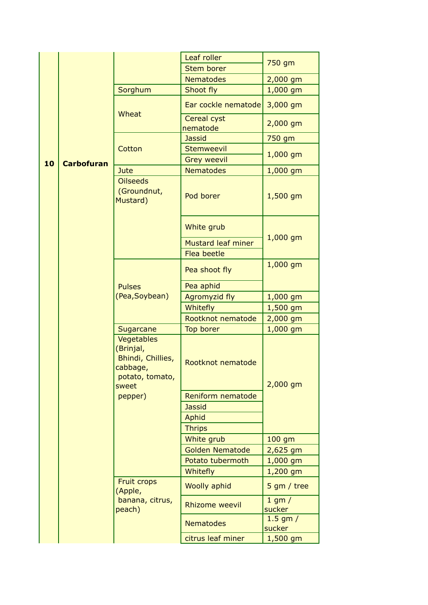|  |                         |                                                                                      | Leaf roller               | 750 gm                 |
|--|-------------------------|--------------------------------------------------------------------------------------|---------------------------|------------------------|
|  |                         |                                                                                      | <b>Stem borer</b>         |                        |
|  |                         |                                                                                      | <b>Nematodes</b>          | 2,000 gm               |
|  |                         | Sorghum                                                                              | Shoot fly                 | $1,000$ gm             |
|  |                         | Wheat                                                                                | Ear cockle nematode       | 3,000 gm               |
|  |                         |                                                                                      | Cereal cyst<br>nematode   | $2,000$ gm             |
|  |                         |                                                                                      | <b>Jassid</b>             | 750 gm                 |
|  | 10<br><b>Carbofuran</b> | Cotton                                                                               | <b>Stemweevil</b>         |                        |
|  |                         |                                                                                      | <b>Grey weevil</b>        | 1,000 gm               |
|  |                         | Jute                                                                                 | <b>Nematodes</b>          | 1,000 gm               |
|  |                         | <b>Oilseeds</b><br>(Groundnut,<br>Mustard)                                           | Pod borer                 | $1,500$ gm             |
|  |                         |                                                                                      | White grub                |                        |
|  |                         |                                                                                      | <b>Mustard leaf miner</b> | 1,000 gm               |
|  |                         |                                                                                      | <b>Flea beetle</b>        |                        |
|  |                         |                                                                                      | Pea shoot fly             | 1,000 gm               |
|  |                         | <b>Pulses</b>                                                                        | Pea aphid                 |                        |
|  |                         | (Pea,Soybean)                                                                        | <b>Agromyzid fly</b>      | $1,000$ gm             |
|  |                         |                                                                                      | Whitefly                  | 1,500 gm               |
|  |                         |                                                                                      | Rootknot nematode         | 2,000 gm               |
|  |                         | Sugarcane                                                                            | Top borer                 | 1,000 gm               |
|  |                         | Vegetables<br>(Brinjal,<br>Bhindi, Chillies,<br>cabbage,<br>potato, tomato,<br>sweet | Rootknot nematode         | $2,000$ gm             |
|  |                         | pepper)                                                                              | Reniform nematode         |                        |
|  |                         |                                                                                      | <b>Jassid</b>             |                        |
|  |                         |                                                                                      | Aphid                     |                        |
|  |                         |                                                                                      | <b>Thrips</b>             |                        |
|  |                         |                                                                                      | White grub                | 100 gm                 |
|  |                         |                                                                                      | <b>Golden Nematode</b>    | 2,625 gm               |
|  |                         |                                                                                      | Potato tubermoth          | $1,000$ gm             |
|  |                         |                                                                                      | Whitefly                  | $1,200$ gm             |
|  |                         | <b>Fruit crops</b><br>(Apple,                                                        | <b>Woolly aphid</b>       | $5$ gm / tree          |
|  |                         | banana, citrus,<br>peach)                                                            | <b>Rhizome weevil</b>     | $1$ gm $/$<br>sucker   |
|  |                         |                                                                                      | <b>Nematodes</b>          | $1.5$ gm $/$<br>sucker |
|  |                         |                                                                                      | citrus leaf miner         | $1,500$ gm             |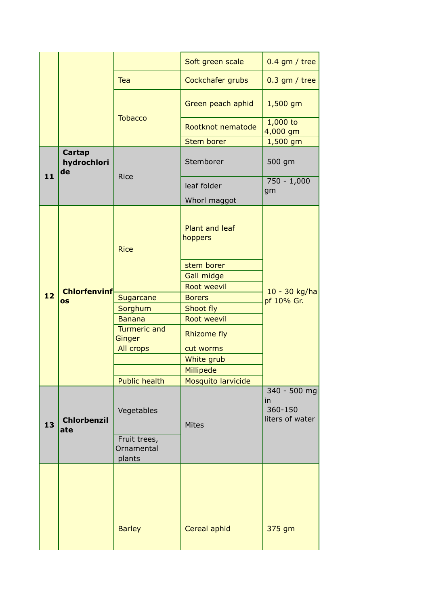|    |                             |                                      | Soft green scale                 | $0.4$ gm / tree                                                                                       |
|----|-----------------------------|--------------------------------------|----------------------------------|-------------------------------------------------------------------------------------------------------|
|    |                             | Tea                                  | Cockchafer grubs                 | $0.3$ gm / tree                                                                                       |
|    |                             |                                      | Green peach aphid                | $1,500$ gm                                                                                            |
|    |                             | <b>Tobacco</b>                       | Rootknot nematode                | $1,000$ to<br>4,000 gm                                                                                |
|    |                             |                                      | <b>Stem borer</b>                |                                                                                                       |
| 11 | Cartap<br>hydrochlori<br>de | <b>Rice</b>                          | Stemborer                        | 500 gm                                                                                                |
|    |                             |                                      | leaf folder                      | $750 - 1,000$<br>gm                                                                                   |
|    |                             |                                      | Whorl maggot                     |                                                                                                       |
|    |                             | <b>Rice</b>                          | <b>Plant and leaf</b><br>hoppers |                                                                                                       |
| 12 |                             |                                      | stem borer                       |                                                                                                       |
|    |                             |                                      | Gall midge                       | 1,500 gm<br>10 - 30 kg/ha<br>pf 10% Gr.<br>340 - 500 mg<br>in<br>360-150<br>liters of water<br>375 gm |
|    | <b>Chlorfenvinf</b>         |                                      | Root weevil                      |                                                                                                       |
|    | os                          | Sugarcane                            | <b>Borers</b>                    |                                                                                                       |
|    |                             | Sorghum                              | Shoot fly                        |                                                                                                       |
|    |                             | <b>Banana</b>                        | Root weevil                      |                                                                                                       |
|    |                             | <b>Turmeric and</b><br>Ginger        | <b>Rhizome fly</b>               |                                                                                                       |
|    |                             | All crops                            | cut worms                        |                                                                                                       |
|    |                             |                                      | White grub                       |                                                                                                       |
|    |                             |                                      | Millipede                        |                                                                                                       |
|    |                             | <b>Public health</b>                 | Mosquito larvicide               |                                                                                                       |
| 13 | <b>Chlorbenzil</b><br>ate   | Vegetables                           | <b>Mites</b>                     |                                                                                                       |
|    |                             | Fruit trees,<br>Ornamental<br>plants |                                  |                                                                                                       |
|    |                             | <b>Barley</b>                        | Cereal aphid                     |                                                                                                       |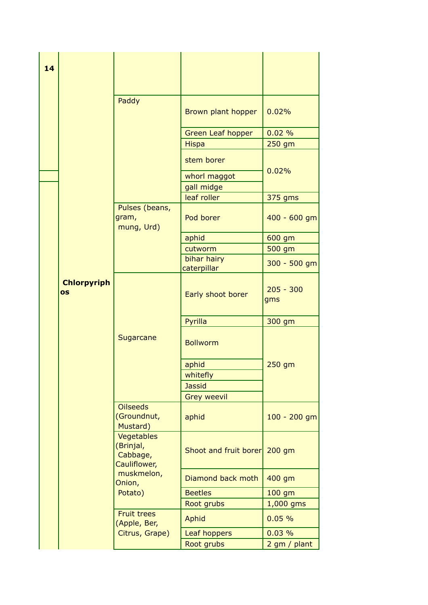| 14 |                                                     |                                            |                            |                    |
|----|-----------------------------------------------------|--------------------------------------------|----------------------------|--------------------|
|    |                                                     | Paddy                                      | Brown plant hopper         | 0.02%              |
|    |                                                     |                                            | <b>Green Leaf hopper</b>   | 0.02%              |
|    |                                                     |                                            | <b>Hispa</b>               | $250$ gm           |
|    |                                                     |                                            | stem borer                 | 0.02%              |
|    |                                                     |                                            | whorl maggot               |                    |
|    |                                                     |                                            | gall midge                 |                    |
|    |                                                     |                                            | leaf roller                | 375 gms            |
|    |                                                     | Pulses (beans,<br>gram,<br>mung, Urd)      | Pod borer                  | 400 - 600 gm       |
|    |                                                     |                                            | aphid                      | 600 gm             |
|    |                                                     |                                            | cutworm                    | 500 gm             |
|    |                                                     |                                            | bihar hairy<br>caterpillar | 300 - 500 gm       |
|    | <b>Chlorpyriph</b><br><b>OS</b>                     |                                            | Early shoot borer          | $205 - 300$<br>gms |
|    |                                                     |                                            | Pyrilla                    | 300 gm             |
|    |                                                     | Sugarcane                                  | <b>Bollworm</b>            | 250 gm             |
|    |                                                     |                                            | aphid                      |                    |
|    |                                                     |                                            | whitefly                   |                    |
|    |                                                     |                                            | <b>Jassid</b>              |                    |
|    |                                                     |                                            | <b>Grey weevil</b>         |                    |
|    |                                                     | <b>Oilseeds</b><br>(Groundnut,<br>Mustard) | aphid                      | 100 - 200 gm       |
|    | Vegetables<br>(Brinjal,<br>Cabbage,<br>Cauliflower, | Shoot and fruit borer                      | $200$ gm                   |                    |
|    |                                                     | muskmelon,<br>Onion,                       | Diamond back moth          | 400 gm             |
|    |                                                     | Potato)                                    | <b>Beetles</b>             | 100 gm             |
|    |                                                     |                                            | Root grubs                 | 1,000 gms          |
|    |                                                     | <b>Fruit trees</b><br>(Apple, Ber,         | <b>Aphid</b>               | 0.05%              |
|    |                                                     | Citrus, Grape)                             | Leaf hoppers               | 0.03%              |
|    |                                                     |                                            | Root grubs                 | 2 gm / plant       |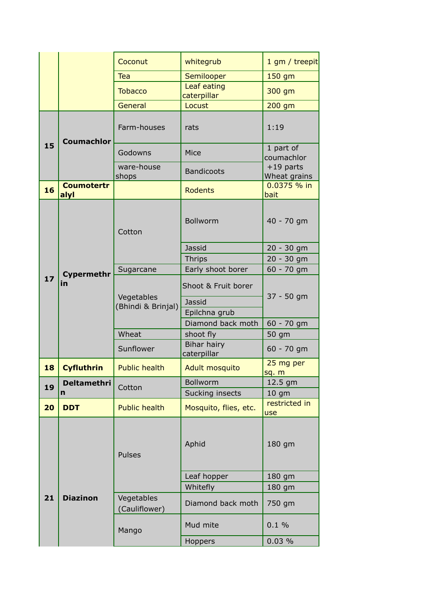|    |                           | Coconut                          | whitegrub                       | 1 gm / treepit                  |
|----|---------------------------|----------------------------------|---------------------------------|---------------------------------|
|    |                           | <b>Tea</b>                       | Semilooper                      | 150 gm                          |
|    |                           | <b>Tobacco</b>                   | Leaf eating<br>caterpillar      | 300 gm                          |
|    |                           | General                          | Locust                          | 200 gm                          |
|    | <b>Coumachlor</b>         | Farm-houses                      | rats                            | 1:19                            |
| 15 |                           | Godowns                          | Mice                            | 1 part of<br>coumachlor         |
|    |                           | ware-house<br>shops              | <b>Bandicoots</b>               | $+19$ parts<br>Wheat grains     |
| 16 | <b>Coumotertr</b><br>alyl |                                  | <b>Rodents</b>                  | 0.0375 % in<br>bait             |
|    |                           | Cotton                           | <b>Bollworm</b>                 | 40 - 70 gm                      |
|    |                           |                                  | Jassid                          | 20 - 30 gm                      |
|    |                           |                                  | <b>Thrips</b>                   | 20 - 30 gm                      |
| 17 | <b>Cypermethr</b><br>in   | Sugarcane                        | Early shoot borer               | 60 - 70 gm                      |
|    |                           | Vegetables<br>(Bhindi & Brinjal) | Shoot & Fruit borer             | 37 - 50 gm<br>60 - 70 gm        |
|    |                           |                                  | Jassid                          |                                 |
|    |                           |                                  | Epilchna grub                   |                                 |
|    |                           |                                  | Diamond back moth               |                                 |
|    |                           | Wheat                            | shoot fly<br><b>Bihar hairy</b> | 50 gm                           |
|    |                           | Sunflower                        | caterpillar                     | $60 - 70$ gm                    |
| 18 | <b>Cyfluthrin</b>         | <b>Public health</b>             | Adult mosquito                  | 25 mg per<br><mark>sq. m</mark> |
| 19 | <b>Deltamethri</b>        | Cotton                           | <b>Bollworm</b>                 | 12.5 gm                         |
|    | n                         |                                  | Sucking insects                 | 10 <sub>gm</sub>                |
| 20 | <b>DDT</b>                | <b>Public health</b>             | Mosquito, flies, etc.           | restricted in<br>use            |
|    |                           | Pulses                           | Aphid                           | 180 gm                          |
|    |                           |                                  | Leaf hopper                     | 180 gm                          |
|    |                           |                                  | Whitefly                        | 180 gm                          |
| 21 | <b>Diazinon</b>           | Vegetables<br>(Cauliflower)      | Diamond back moth               | 750 gm                          |
|    |                           | Mango                            | Mud mite                        | 0.1%                            |
|    |                           |                                  | Hoppers                         | 0.03%                           |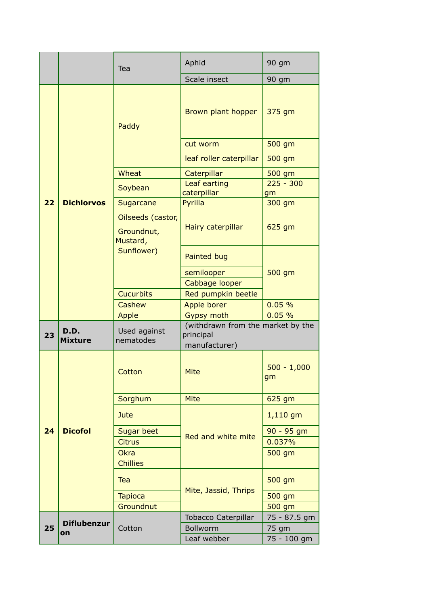|    |                        | Tea                                         | Aphid                                                           | 90 gm               |             |
|----|------------------------|---------------------------------------------|-----------------------------------------------------------------|---------------------|-------------|
|    |                        |                                             | Scale insect                                                    | 90 gm               |             |
|    |                        | Paddy                                       | Brown plant hopper                                              | 375 gm              |             |
|    |                        |                                             | cut worm                                                        | 500 gm              |             |
|    |                        |                                             | leaf roller caterpillar                                         | 500 gm              |             |
|    |                        | Wheat                                       | Caterpillar                                                     | 500 gm              |             |
|    |                        | Soybean                                     | Leaf earting<br>caterpillar                                     | $225 - 300$<br>gm   |             |
| 22 | <b>Dichlorvos</b>      | Sugarcane                                   | Pyrilla                                                         | 300 gm              |             |
|    |                        | Oilseeds (castor,<br>Groundnut,<br>Mustard, | Hairy caterpillar                                               | 625 gm              |             |
|    |                        | Sunflower)                                  | Painted bug                                                     |                     |             |
|    |                        |                                             | semilooper                                                      | 500 gm              |             |
|    |                        |                                             | Cabbage looper                                                  |                     |             |
|    |                        | <b>Cucurbits</b>                            | Red pumpkin beetle                                              |                     |             |
|    |                        | Cashew                                      | Apple borer                                                     | 0.05%               |             |
|    |                        | Apple                                       | <b>Gypsy moth</b>                                               | 0.05%               |             |
| 23 | D.D.<br><b>Mixture</b> | Used against<br>nematodes                   | (withdrawn from the market by the<br>principal<br>manufacturer) |                     |             |
|    |                        | Cotton                                      | <b>Mite</b>                                                     | $500 - 1,000$<br>gm |             |
|    |                        | Sorghum                                     | <b>Mite</b>                                                     | 625 gm              |             |
|    |                        | Jute                                        |                                                                 | $1,110$ gm          |             |
| 24 | <b>Dicofol</b>         | <b>Sugar beet</b>                           |                                                                 | $90 - 95$ gm        |             |
|    |                        | <b>Citrus</b>                               | Red and white mite                                              | 0.037%              |             |
|    |                        | Okra                                        |                                                                 | 500 gm              |             |
|    |                        | <b>Chillies</b>                             |                                                                 |                     |             |
|    |                        | Tea                                         |                                                                 | 500 gm              |             |
|    |                        | <b>Tapioca</b>                              | Mite, Jassid, Thrips                                            | 500 gm              |             |
|    |                        | Groundnut                                   |                                                                 | 500 gm              |             |
|    | <b>Diflubenzur</b>     |                                             | <b>Tobacco Caterpillar</b>                                      | 75 - 87.5 gm        |             |
| 25 | on                     | Cotton                                      | Bollworm                                                        | 75 gm               |             |
|    |                        |                                             |                                                                 | Leaf webber         | 75 - 100 gm |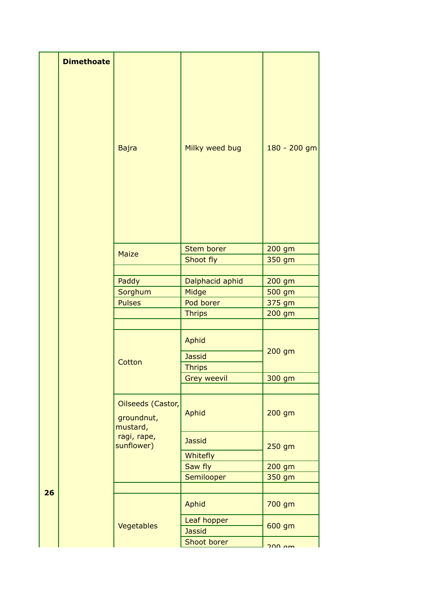|    | <b>Dimethoate</b> |                                             |                                                                                                                                                                                                                                                                               |                                      |
|----|-------------------|---------------------------------------------|-------------------------------------------------------------------------------------------------------------------------------------------------------------------------------------------------------------------------------------------------------------------------------|--------------------------------------|
|    |                   | <b>Bajra</b>                                | Milky weed bug                                                                                                                                                                                                                                                                | 180 - 200 gm                         |
|    |                   |                                             |                                                                                                                                                                                                                                                                               |                                      |
|    |                   | <b>Maize</b>                                |                                                                                                                                                                                                                                                                               |                                      |
|    |                   |                                             |                                                                                                                                                                                                                                                                               |                                      |
|    |                   | Paddy                                       |                                                                                                                                                                                                                                                                               |                                      |
|    |                   | Sorghum                                     |                                                                                                                                                                                                                                                                               |                                      |
|    |                   | <b>Pulses</b>                               |                                                                                                                                                                                                                                                                               |                                      |
|    |                   |                                             |                                                                                                                                                                                                                                                                               |                                      |
|    |                   |                                             |                                                                                                                                                                                                                                                                               |                                      |
|    |                   | Cotton                                      | Aphid<br><b>Jassid</b>                                                                                                                                                                                                                                                        | 200 gm                               |
|    |                   |                                             | Stem borer<br>200 gm<br>Shoot fly<br>350 gm<br>Dalphacid aphid<br>200 gm<br>Midge<br>500 gm<br>Pod borer<br>375 gm<br>200 gm<br><b>Thrips</b><br><b>Thrips</b><br>300 gm<br><b>Grey weevil</b><br>Aphid<br>200 gm<br><b>Jassid</b><br>250 gm<br>Whitefly<br>Saw fly<br>200 gm |                                      |
|    |                   |                                             |                                                                                                                                                                                                                                                                               |                                      |
|    |                   | Oilseeds (Castor,<br>groundnut,<br>mustard, |                                                                                                                                                                                                                                                                               |                                      |
|    |                   | ragi, rape,<br>sunflower)                   |                                                                                                                                                                                                                                                                               |                                      |
|    |                   |                                             |                                                                                                                                                                                                                                                                               |                                      |
|    |                   |                                             | Semilooper                                                                                                                                                                                                                                                                    |                                      |
|    |                   |                                             |                                                                                                                                                                                                                                                                               |                                      |
| 26 |                   |                                             | Aphid                                                                                                                                                                                                                                                                         | 700 gm                               |
|    |                   | Vegetables                                  | Leaf hopper<br><b>Jassid</b>                                                                                                                                                                                                                                                  | 350 gm<br>600 gm<br>$200 \text{ nm}$ |
|    |                   |                                             | Shoot borer                                                                                                                                                                                                                                                                   |                                      |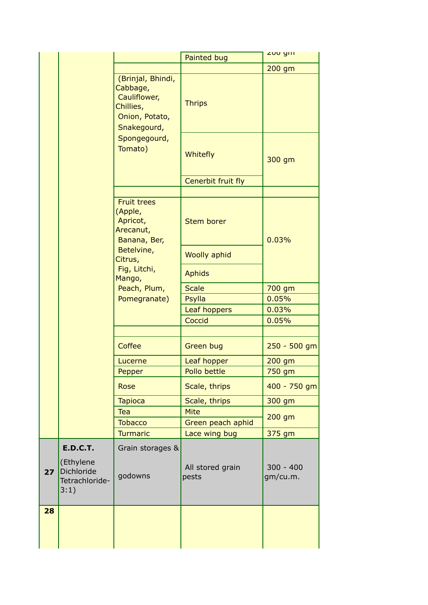|    |                                                                        |                                                                                             | Painted bug               | <b>ZUU YIII</b>         |
|----|------------------------------------------------------------------------|---------------------------------------------------------------------------------------------|---------------------------|-------------------------|
|    |                                                                        |                                                                                             |                           | 200 gm                  |
|    |                                                                        | (Brinjal, Bhindi,<br>Cabbage,<br>Cauliflower,<br>Chillies,<br>Onion, Potato,<br>Snakegourd, | <b>Thrips</b>             |                         |
|    |                                                                        | Spongegourd,<br>Tomato)                                                                     | Whitefly                  | 300 gm                  |
|    |                                                                        |                                                                                             | Cenerbit fruit fly        |                         |
|    | <b>Fruit trees</b><br>(Apple,<br>Apricot,<br>Arecanut,<br>Banana, Ber, | <b>Stem borer</b>                                                                           | 0.03%                     |                         |
|    |                                                                        | Betelvine,<br>Citrus,                                                                       | <b>Woolly aphid</b>       |                         |
|    |                                                                        | Fig, Litchi,<br>Mango,                                                                      | <b>Aphids</b>             |                         |
|    |                                                                        | Peach, Plum,                                                                                | <b>Scale</b>              | 700 gm                  |
|    |                                                                        | Pomegranate)                                                                                | Psylla                    | 0.05%                   |
|    |                                                                        |                                                                                             | Leaf hoppers              | 0.03%                   |
|    |                                                                        |                                                                                             | Coccid                    | 0.05%                   |
|    |                                                                        | Coffee                                                                                      | <b>Green bug</b>          | $250 - 500$ gm          |
|    |                                                                        | Lucerne                                                                                     | Leaf hopper               | $200$ gm                |
|    |                                                                        | Pepper                                                                                      | Pollo bettle              | 750 gm                  |
|    |                                                                        | <b>Rose</b>                                                                                 | Scale, thrips             | 400 - 750 gm            |
|    |                                                                        | <b>Tapioca</b>                                                                              | Scale, thrips             | 300 gm                  |
|    |                                                                        | Tea                                                                                         | <b>Mite</b>               | $200$ gm                |
|    |                                                                        | <b>Tobacco</b>                                                                              | Green peach aphid         |                         |
|    |                                                                        | <b>Turmaric</b>                                                                             | Lace wing bug             | 375 gm                  |
| 27 | <b>E.D.C.T.</b><br>(Ethylene<br>Dichloride<br>Tetrachloride-<br>3:1)   | Grain storages &<br>godowns                                                                 | All stored grain<br>pests | $300 - 400$<br>gm/cu.m. |
| 28 |                                                                        |                                                                                             |                           |                         |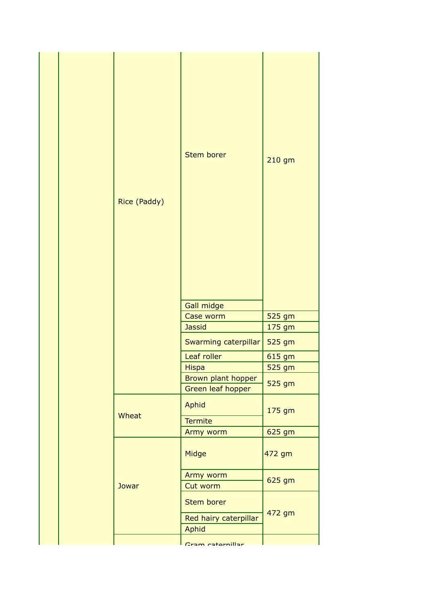|  | Rice (Paddy) | <b>Stem borer</b>                                   | 210 gm |
|--|--------------|-----------------------------------------------------|--------|
|  |              | Gall midge<br>Case worm                             | 525 gm |
|  |              | <b>Jassid</b>                                       | 175 gm |
|  |              | Swarming caterpillar                                | 525 gm |
|  |              | Leaf roller                                         | 615 gm |
|  |              | <b>Hispa</b>                                        | 525 gm |
|  |              | Brown plant hopper<br>Green leaf hopper             | 525 gm |
|  | Wheat        | Aphid<br><b>Termite</b>                             | 175 gm |
|  |              | Army worm                                           | 625 gm |
|  |              | Midge                                               | 472 gm |
|  | Jowar        | Army worm<br>Cut worm                               | 625 gm |
|  |              | <b>Stem borer</b><br>Red hairy caterpillar<br>Aphid | 472 gm |
|  |              | Cram catornillar                                    |        |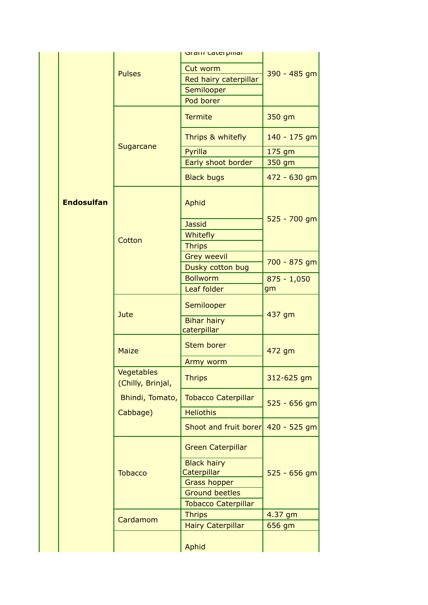|                   |                                 | Gram Caterpinar                      |                |
|-------------------|---------------------------------|--------------------------------------|----------------|
|                   |                                 | Cut worm                             |                |
|                   | <b>Pulses</b>                   |                                      | 390 - 485 gm   |
|                   |                                 | Red hairy caterpillar                |                |
|                   |                                 | Semilooper                           |                |
|                   |                                 | Pod borer                            |                |
|                   |                                 | <b>Termite</b>                       | 350 gm         |
|                   | Sugarcane                       | Thrips & whitefly                    | 140 - 175 gm   |
|                   |                                 | Pyrilla                              | 175 gm         |
|                   |                                 | Early shoot border                   | 350 gm         |
|                   |                                 | <b>Black bugs</b>                    | 472 - 630 gm   |
| <b>Endosulfan</b> |                                 | Aphid                                |                |
|                   |                                 | <b>Jassid</b>                        | 525 - 700 gm   |
|                   |                                 | Whitefly                             |                |
|                   | Cotton                          | <b>Thrips</b>                        |                |
|                   |                                 | <b>Grey weevil</b>                   |                |
|                   |                                 | Dusky cotton bug                     | 700 - 875 gm   |
|                   |                                 | <b>Bollworm</b>                      | $875 - 1,050$  |
|                   |                                 | Leaf folder                          | gm             |
|                   |                                 | Semilooper                           |                |
|                   | Jute                            | <b>Bihar hairy</b>                   | 437 gm         |
|                   |                                 | caterpillar                          |                |
|                   | <b>Maize</b>                    | <b>Stem borer</b>                    | 472 gm         |
|                   |                                 | Army worm                            |                |
|                   | Vegetables<br>(Chilly, Brinjal, | <b>Thrips</b>                        | 312-625 gm     |
|                   | Bhindi, Tomato,                 | <b>Tobacco Caterpillar</b>           | $525 - 656$ gm |
|                   | Cabbage)                        | <b>Heliothis</b>                     |                |
|                   |                                 | Shoot and fruit borer $420 - 525$ gm |                |
|                   |                                 | <b>Green Caterpillar</b>             |                |
|                   |                                 | <b>Black hairy</b>                   |                |
|                   | <b>Tobacco</b>                  | Caterpillar                          | $525 - 656$ gm |
|                   |                                 | <b>Grass hopper</b>                  |                |
|                   |                                 | <b>Ground beetles</b>                |                |
|                   |                                 | <b>Tobacco Caterpillar</b>           |                |
|                   | Cardamom                        | <b>Thrips</b>                        | 4.37 gm        |
|                   |                                 | <b>Hairy Caterpillar</b>             | 656 gm         |
|                   |                                 | Aphid                                |                |
|                   |                                 |                                      |                |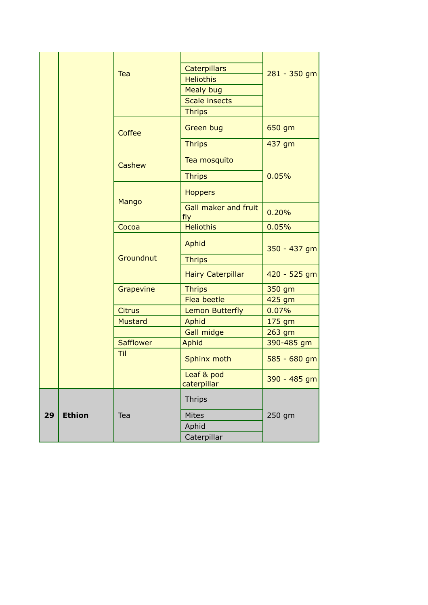|    |               | Tea              | Caterpillars<br><b>Heliothis</b><br><b>Mealy bug</b><br><b>Scale insects</b><br><b>Thrips</b> | 281 - 350 gm |
|----|---------------|------------------|-----------------------------------------------------------------------------------------------|--------------|
|    |               | Coffee           | <b>Green bug</b>                                                                              | 650 gm       |
|    |               |                  | <b>Thrips</b>                                                                                 | 437 gm       |
|    |               | Cashew           | Tea mosquito                                                                                  |              |
|    |               |                  | <b>Thrips</b>                                                                                 | 0.05%        |
|    |               | Mango            | <b>Hoppers</b>                                                                                |              |
|    |               |                  | Gall maker and fruit<br>fly                                                                   | 0.20%        |
|    |               | Cocoa            | <b>Heliothis</b>                                                                              | 0.05%        |
|    |               |                  | Aphid                                                                                         | 350 - 437 gm |
|    |               | Groundnut        | <b>Thrips</b>                                                                                 |              |
|    |               |                  | <b>Hairy Caterpillar</b>                                                                      | 420 - 525 gm |
|    |               | Grapevine        | <b>Thrips</b>                                                                                 | 350 gm       |
|    |               |                  | Flea beetle                                                                                   | 425 gm       |
|    |               | <b>Citrus</b>    | <b>Lemon Butterfly</b>                                                                        | 0.07%        |
|    |               | <b>Mustard</b>   | Aphid                                                                                         | 175 gm       |
|    |               |                  | <b>Gall midge</b>                                                                             | 263 gm       |
|    |               | <b>Safflower</b> | Aphid                                                                                         | 390-485 gm   |
|    |               | Til              | Sphinx moth                                                                                   | 585 - 680 gm |
|    |               |                  | Leaf & pod<br>caterpillar                                                                     | 390 - 485 gm |
|    |               |                  | <b>Thrips</b>                                                                                 |              |
| 29 | <b>Ethion</b> | Tea              | <b>Mites</b>                                                                                  | 250 gm       |
|    |               |                  | Aphid                                                                                         |              |
|    |               |                  | Caterpillar                                                                                   |              |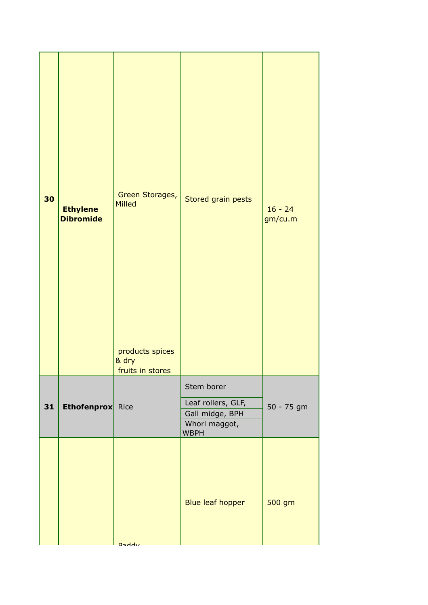| 30 | <b>Ethylene</b><br><b>Dibromide</b> | Green Storages,<br><b>Milled</b><br>products spices<br>& dry<br>fruits in stores | Stored grain pests                                                                  | $16 - 24$<br>gm/cu.m |
|----|-------------------------------------|----------------------------------------------------------------------------------|-------------------------------------------------------------------------------------|----------------------|
| 31 | <b>Ethofenprox</b> Rice             |                                                                                  | Stem borer<br>Leaf rollers, GLF,<br>Gall midge, BPH<br>Whorl maggot,<br><b>WBPH</b> | 50 - 75 gm           |
|    |                                     | <b>Daddy</b>                                                                     | <b>Blue leaf hopper</b>                                                             | 500 gm               |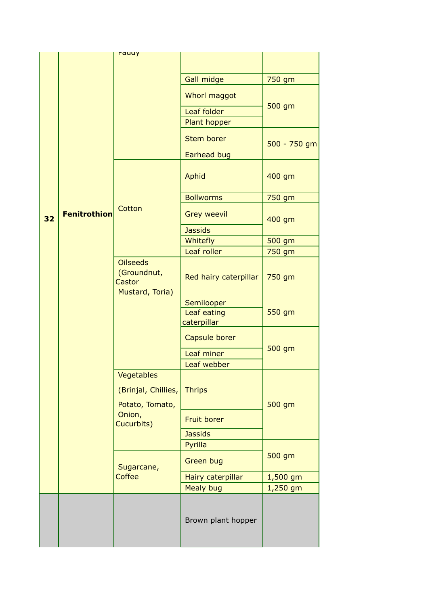|    |                                                             | rauuy                                   |                    |              |
|----|-------------------------------------------------------------|-----------------------------------------|--------------------|--------------|
|    |                                                             |                                         |                    |              |
|    |                                                             |                                         | Gall midge         | 750 gm       |
|    |                                                             |                                         | Whorl maggot       |              |
|    |                                                             |                                         | Leaf folder        | 500 gm       |
|    |                                                             |                                         | Plant hopper       |              |
|    |                                                             |                                         | <b>Stem borer</b>  | 500 - 750 gm |
|    |                                                             |                                         | Earhead bug        |              |
|    |                                                             |                                         | Aphid              | 400 gm       |
|    |                                                             |                                         | <b>Bollworms</b>   | 750 gm       |
| 32 | <b>Fenitrothion</b>                                         | Cotton                                  | <b>Grey weevil</b> | 400 gm       |
|    |                                                             |                                         | <b>Jassids</b>     |              |
|    |                                                             |                                         | Whitefly           | 500 gm       |
|    | <b>Oilseeds</b><br>(Groundnut,<br>Castor<br>Mustard, Toria) |                                         | Leaf roller        | 750 gm       |
|    |                                                             | Red hairy caterpillar                   | 750 gm             |              |
|    |                                                             |                                         | Semilooper         |              |
|    |                                                             |                                         | Leaf eating        | 550 gm       |
|    |                                                             |                                         | caterpillar        |              |
|    |                                                             |                                         | Capsule borer      | 500 gm       |
|    |                                                             |                                         | Leaf miner         |              |
|    |                                                             |                                         | Leaf webber        |              |
|    |                                                             | Vegetables<br>(Brinjal, Chillies,       | <b>Thrips</b>      |              |
|    |                                                             | Potato, Tomato,<br>Onion,<br>Cucurbits) | Fruit borer        | 500 gm       |
|    |                                                             |                                         | <b>Jassids</b>     |              |
|    |                                                             |                                         | Pyrilla            |              |
|    |                                                             | Sugarcane,                              | <b>Green bug</b>   | 500 gm       |
|    |                                                             | Coffee                                  | Hairy caterpillar  | $1,500$ gm   |
|    |                                                             |                                         | <b>Mealy bug</b>   | 1,250 gm     |
|    |                                                             |                                         | Brown plant hopper |              |